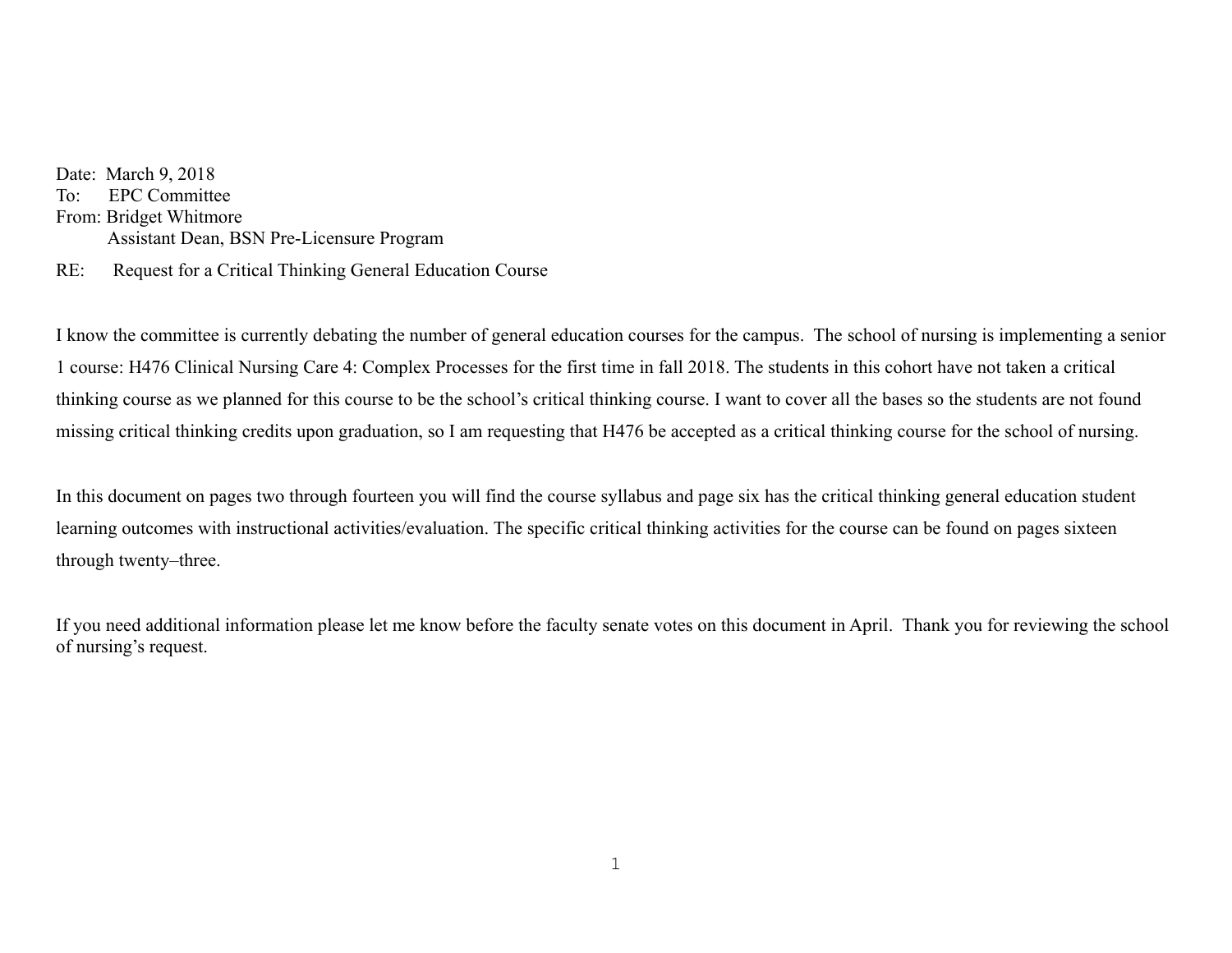Date: March 9, 2018 To: EPC Committee From: Bridget Whitmore Assistant Dean, BSN Pre-Licensure Program

RE: Request for a Critical Thinking General Education Course

I know the committee is currently debating the number of general education courses for the campus. The school of nursing is implementing a senior 1 course: H476 Clinical Nursing Care 4: Complex Processes for the first time in fall 2018. The students in this cohort have not taken a critical thinking course as we planned for this course to be the school's critical thinking course. I want to cover all the bases so the students are not found missing critical thinking credits upon graduation, so I am requesting that H476 be accepted as a critical thinking course for the school of nursing.

In this document on pages two through fourteen you will find the course syllabus and page six has the critical thinking general education student learning outcomes with instructional activities/evaluation. The specific critical thinking activities for the course can be found on pages sixteen through twenty–three.

If you need additional information please let me know before the faculty senate votes on this document in April. Thank you for reviewing the school of nursing's request.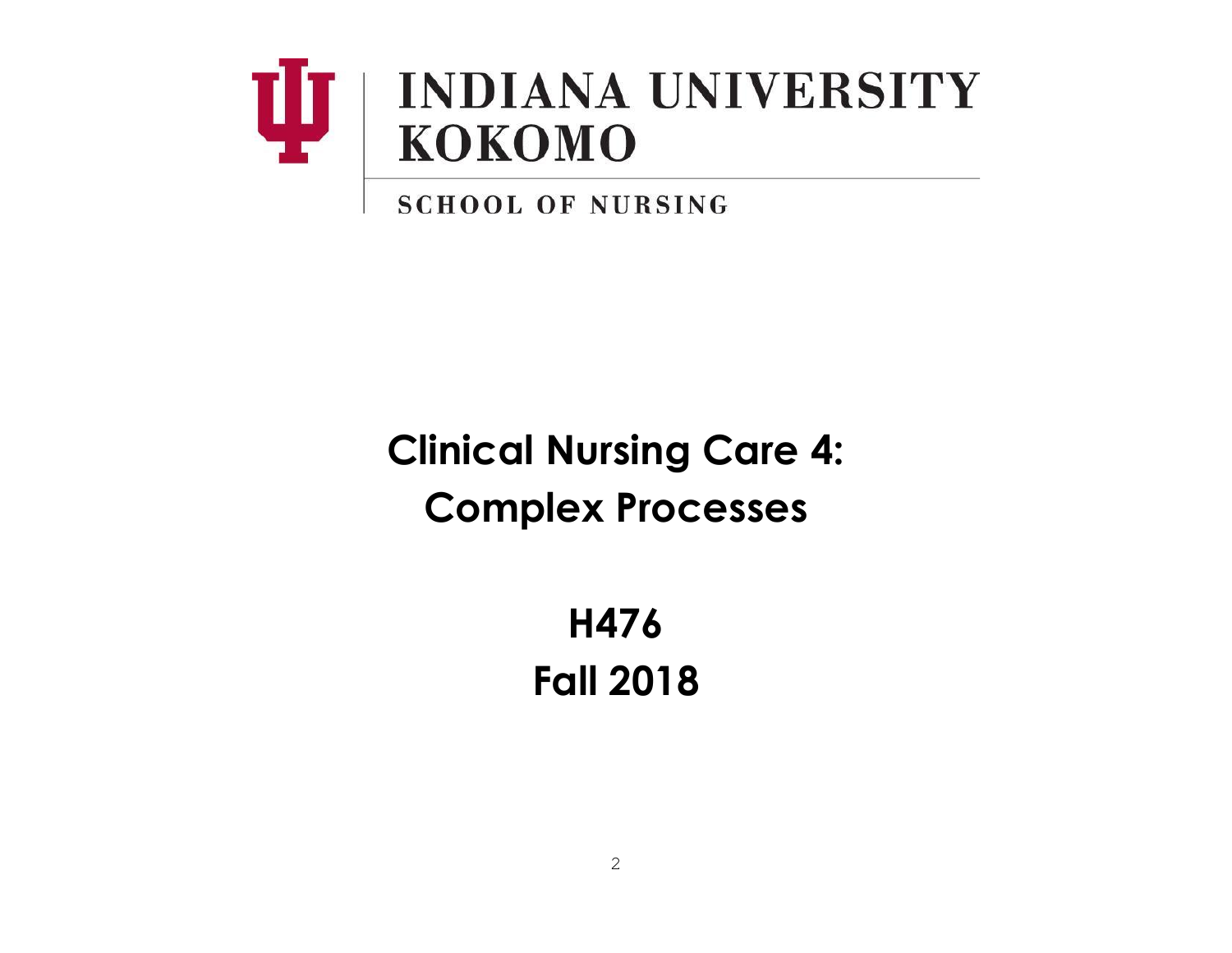

**SCHOOL OF NURSING** 

**Clinical Nursing Care 4: Complex Processes**

> **H476 Fall 2018**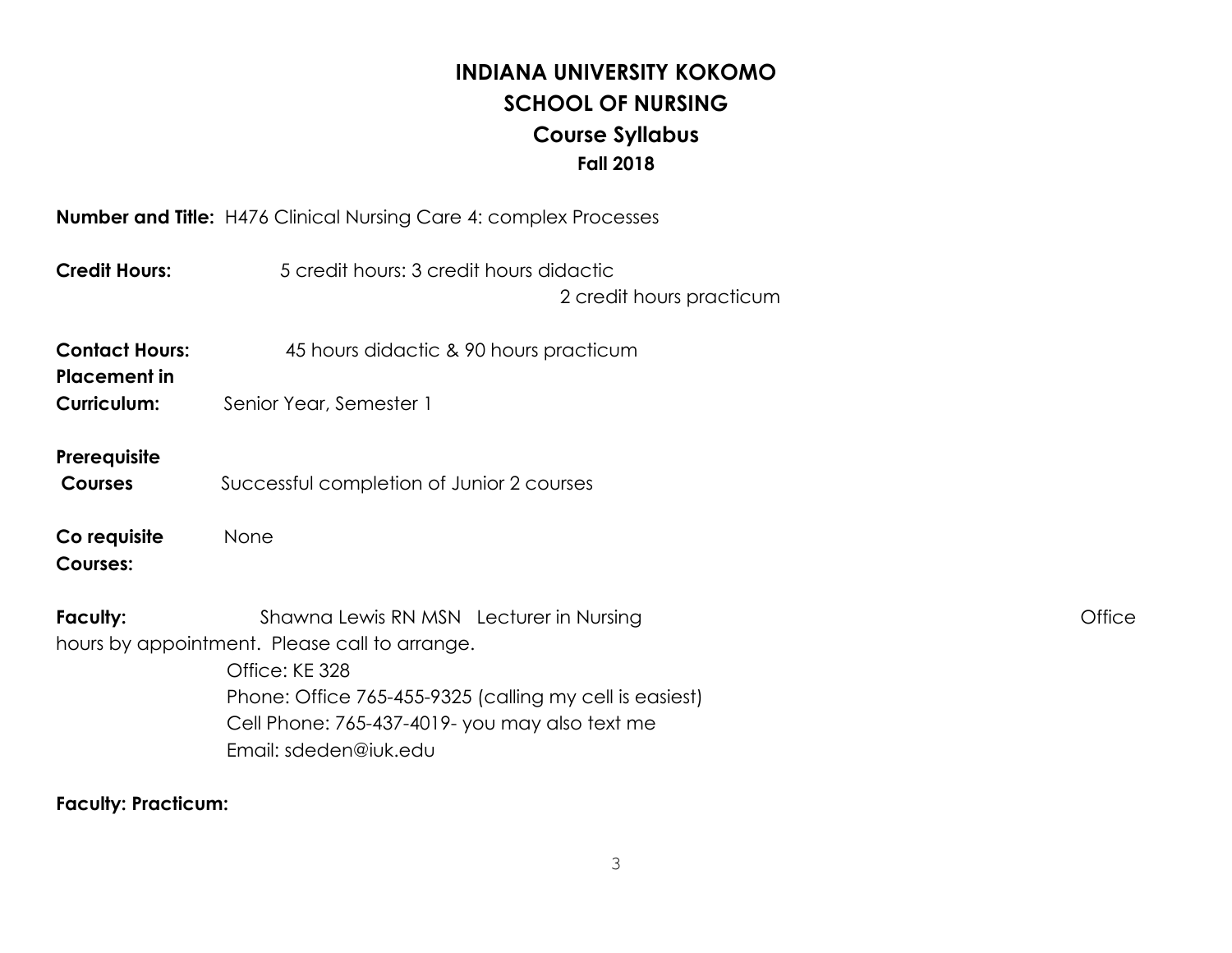# **INDIANA UNIVERSITY KOKOMO SCHOOL OF NURSING Course Syllabus Fall 2018**

**Number and Title:** H476 Clinical Nursing Care 4: complex Processes

| <b>Credit Hours:</b>                                               | 5 credit hours: 3 credit hours didactic<br>2 credit hours practicum                                                                                                                                                                              |        |
|--------------------------------------------------------------------|--------------------------------------------------------------------------------------------------------------------------------------------------------------------------------------------------------------------------------------------------|--------|
| <b>Contact Hours:</b><br><b>Placement in</b><br><b>Curriculum:</b> | 45 hours didactic & 90 hours practicum<br>Senior Year, Semester 1                                                                                                                                                                                |        |
| Prerequisite<br><b>Courses</b>                                     | Successful completion of Junior 2 courses                                                                                                                                                                                                        |        |
| Co requisite<br><b>Courses:</b>                                    | None                                                                                                                                                                                                                                             |        |
| Faculty:                                                           | Shawna Lewis RN MSN Lecturer in Nursing<br>hours by appointment. Please call to arrange.<br>Office: KE 328<br>Phone: Office 765-455-9325 (calling my cell is easiest)<br>Cell Phone: 765-437-4019- you may also text me<br>Email: sdeden@iuk.edu | Office |

# **Faculty: Practicum:**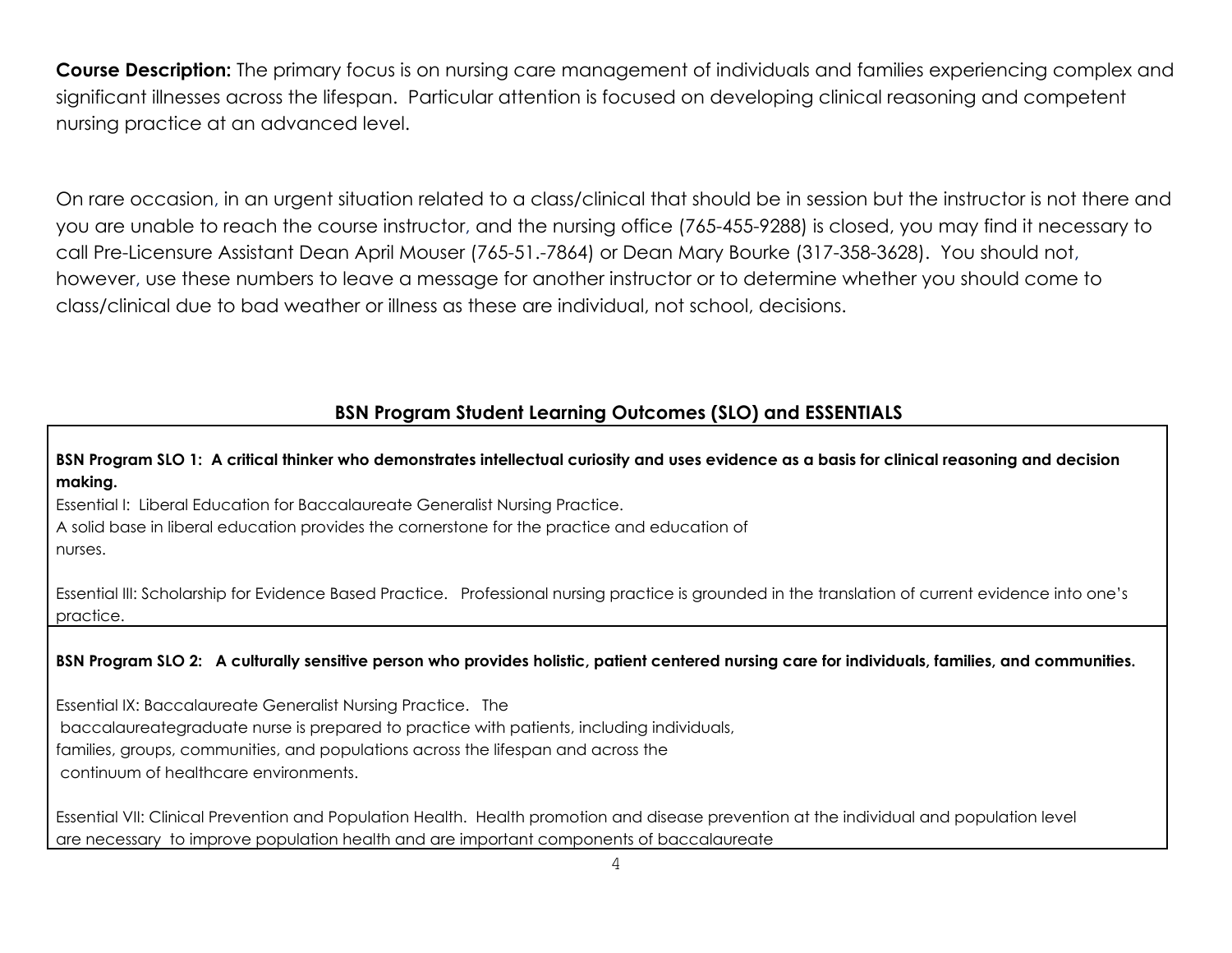**Course Description:** The primary focus is on nursing care management of individuals and families experiencing complex and significant illnesses across the lifespan. Particular attention is focused on developing clinical reasoning and competent nursing practice at an advanced level.

On rare occasion, in an urgent situation related to a class/clinical that should be in session but the instructor is not there and you are unable to reach the course instructor, and the nursing office (765-455-9288) is closed, you may find it necessary to call Pre-Licensure Assistant Dean April Mouser (765-51.-7864) or Dean Mary Bourke (317-358-3628). You should not, however, use these numbers to leave a message for another instructor or to determine whether you should come to class/clinical due to bad weather or illness as these are individual, not school, decisions.

### **BSN Program Student Learning Outcomes (SLO) and ESSENTIALS**

BSN Program SLO 1: A critical thinker who demonstrates intellectual curiosity and uses evidence as a basis for clinical reasoning and decision **making.**

Essential I: Liberal Education for Baccalaureate Generalist Nursing Practice.

A solid base in liberal education provides the cornerstone for the practice and education of nurses.

Essential III: Scholarship for Evidence Based Practice. Professional nursing practice is grounded in the translation of current evidence into one's practice.

BSN Program SLO 2: A culturally sensitive person who provides holistic, patient centered nursing care for individuals, families, and communities.

Essential IX: Baccalaureate Generalist Nursing Practice. The baccalaureategraduate nurse is prepared to practice with patients, including individuals, families, groups, communities, and populations across the lifespan and across the continuum of healthcare environments.

Essential VII: Clinical Prevention and Population Health. Health promotion and disease prevention at the individual and population level are necessary to improve population health and are important components of baccalaureate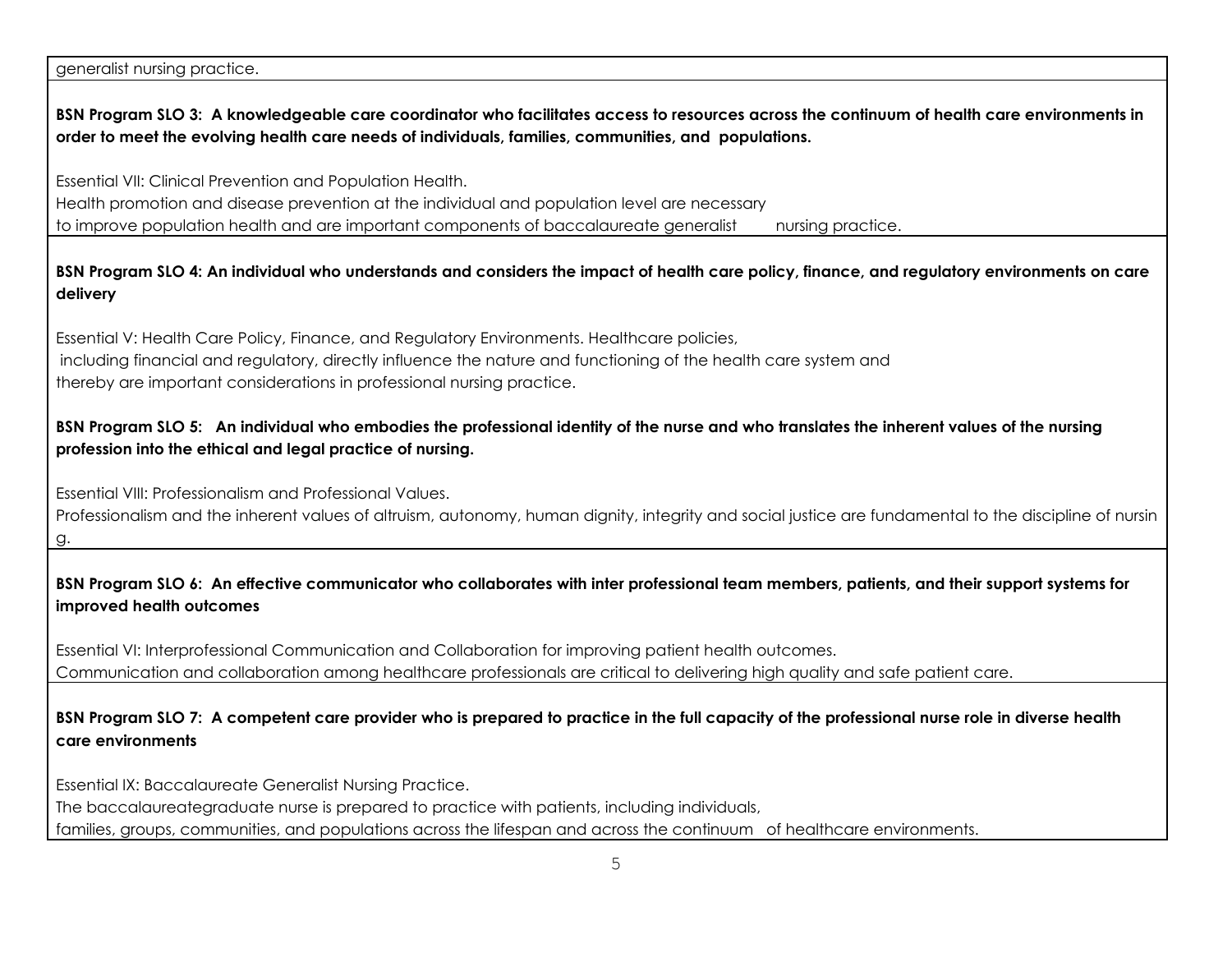generalist nursing practice.

#### BSN Program SLO 3: A knowledgeable care coordinator who facilitates access to resources across the continuum of health care environments in **order to meet the evolving health care needs of individuals, families, communities, and populations.**

Essential VII: Clinical Prevention and Population Health. Health promotion and disease prevention at the individual and population level are necessary to improve population health and are important components of baccalaureate generalist nursing practice.

#### BSN Program SLO 4: An individual who understands and considers the impact of health care policy, finance, and regulatory environments on care **delivery**

Essential V: Health Care Policy, Finance, and Regulatory Environments. Healthcare policies, including financial and regulatory, directly influence the nature and functioning of the health care system and thereby are important considerations in professional nursing practice.

#### BSN Program SLO 5: An individual who embodies the professional identity of the nurse and who translates the inherent values of the nursing **profession into the ethical and legal practice of nursing.**

Essential VIII: Professionalism and Professional Values.

Professionalism and the inherent values of altruism, autonomy, human dignity, integrity and social justice are fundamental to the discipline of nursin g.

#### BSN Program SLO 6: An effective communicator who collaborates with inter professional team members, patients, and their support systems for **improved health outcomes**

Essential VI: Interprofessional Communication and Collaboration for improving patient health outcomes. Communication and collaboration among healthcare professionals are critical to delivering high quality and safe patient care.

#### BSN Program SLO 7: A competent care provider who is prepared to practice in the full capacity of the professional nurse role in diverse health **care environments**

Essential IX: Baccalaureate Generalist Nursing Practice.

The baccalaureategraduate nurse is prepared to practice with patients, including individuals,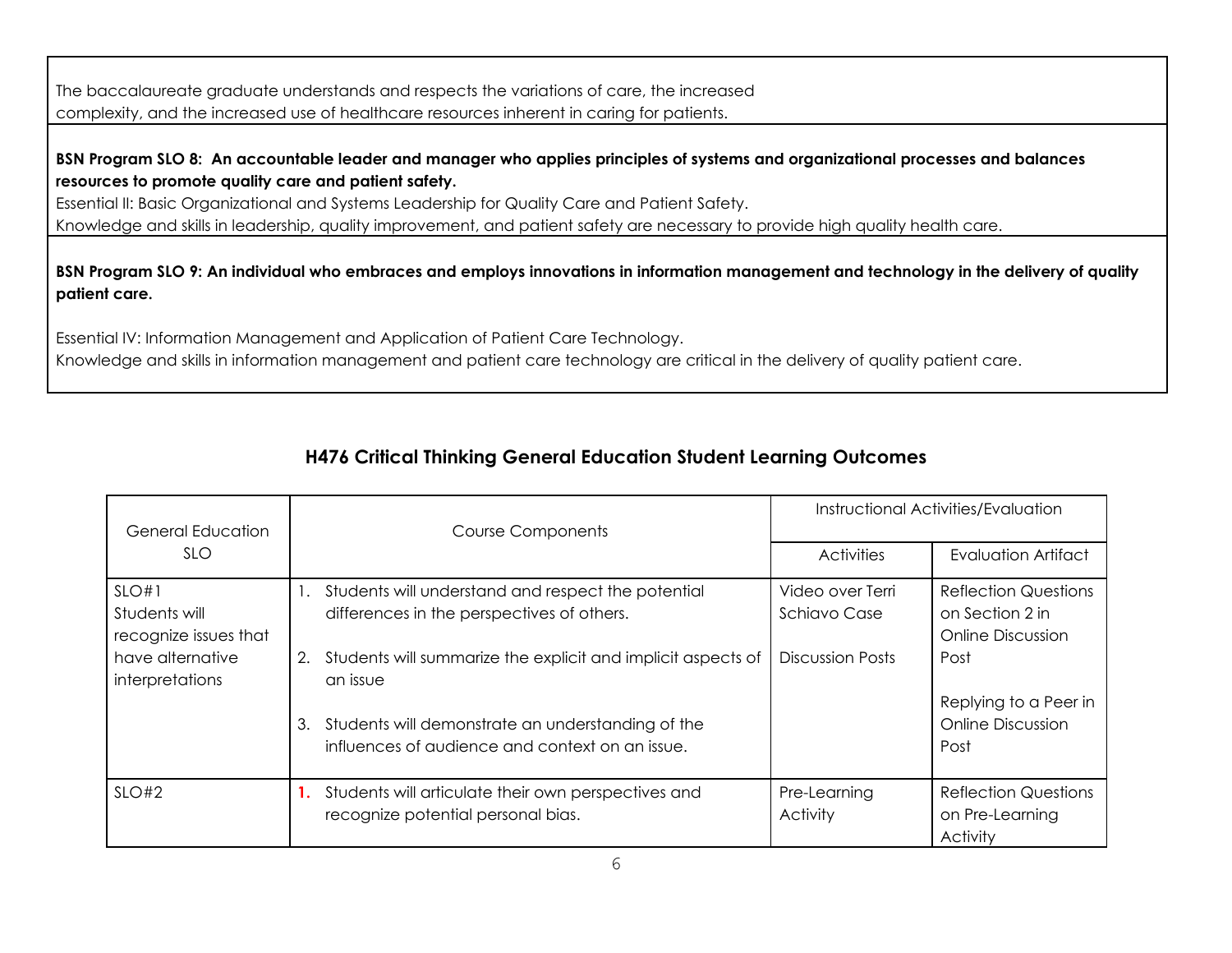The baccalaureate graduate understands and respects the variations of care, the increased complexity, and the increased use of healthcare resources inherent in caring for patients.

### BSN Program SLO 8: An accountable leader and manager who applies principles of systems and organizational processes and balances **resources to promote quality care and patient safety.**

Essential II: Basic Organizational and Systems Leadership for Quality Care and Patient Safety. Knowledge and skills in leadership, quality improvement, and patient safety are necessary to provide high quality health care.

BSN Program SLO 9: An individual who embraces and employs innovations in information management and technology in the delivery of quality **patient care.**

Essential IV: Information Management and Application of Patient Care Technology.

Knowledge and skills in information management and patient care technology are critical in the delivery of quality patient care.

# **H476 Critical Thinking General Education Student Learning Outcomes**

| General Education                               | <b>Course Components</b>                                                                                   | Instructional Activities/Evaluation     |                                                                     |
|-------------------------------------------------|------------------------------------------------------------------------------------------------------------|-----------------------------------------|---------------------------------------------------------------------|
| SLO.                                            |                                                                                                            | <b>Activities</b>                       | <b>Evaluation Artifact</b>                                          |
| SLO#1<br>Students will<br>recognize issues that | Students will understand and respect the potential<br>differences in the perspectives of others.           | Video over Terri<br><b>Schiavo Case</b> | <b>Reflection Questions</b><br>on Section 2 in<br>Online Discussion |
| have alternative<br>interpretations             | Students will summarize the explicit and implicit aspects of<br>2.<br>an issue                             | <b>Discussion Posts</b>                 | Post                                                                |
|                                                 | Students will demonstrate an understanding of the<br>3.<br>influences of audience and context on an issue. |                                         | Replying to a Peer in<br><b>Online Discussion</b><br>Post           |
| $SLO$ #2                                        | Students will articulate their own perspectives and<br>recognize potential personal bias.                  | Pre-Learning<br><b>Activity</b>         | <b>Reflection Questions</b><br>on Pre-Learning<br>Activity          |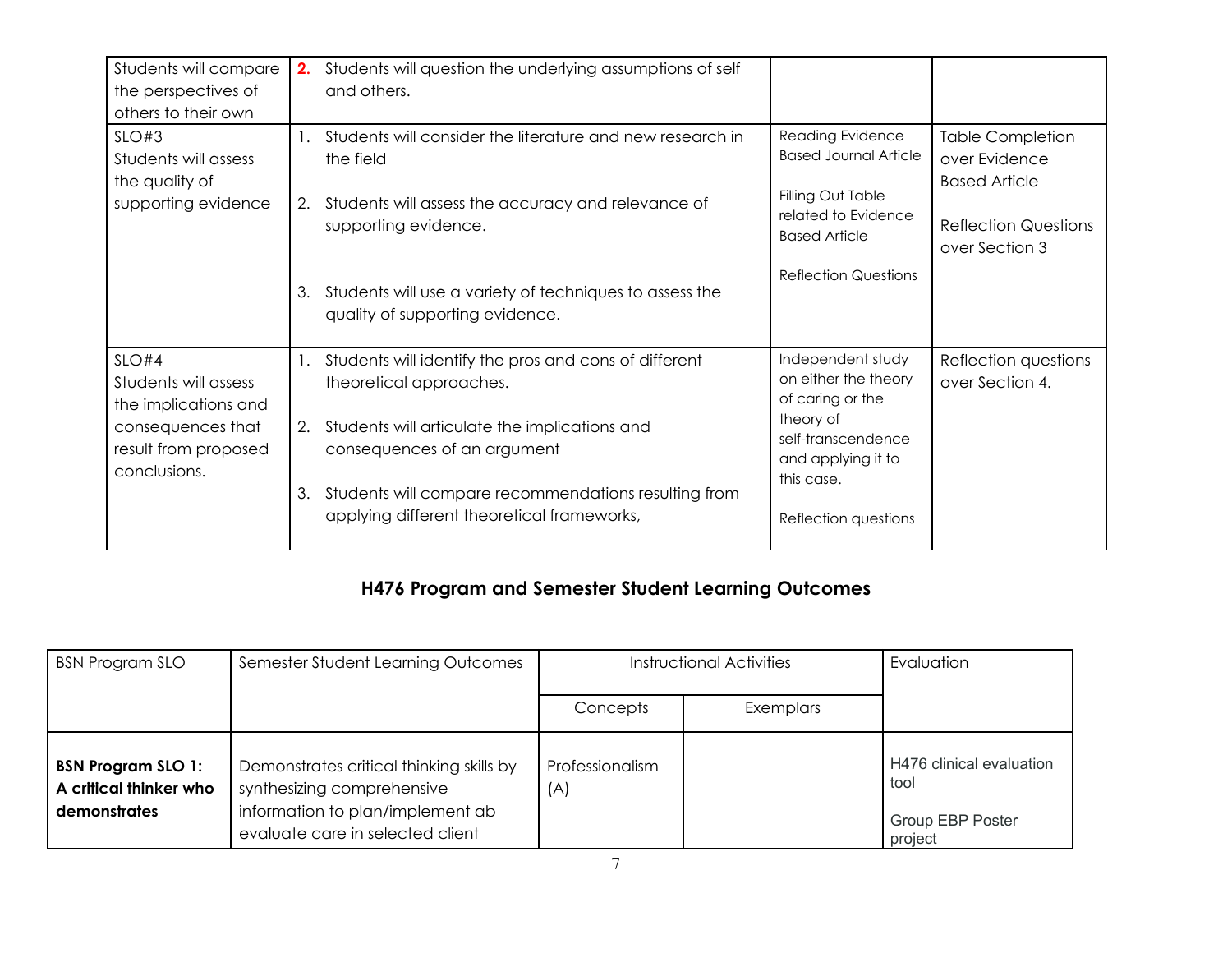| Students will compare<br>the perspectives of<br>others to their own | 2.             | Students will question the underlying assumptions of self<br>and others.                           |                                                                  |                                                                  |
|---------------------------------------------------------------------|----------------|----------------------------------------------------------------------------------------------------|------------------------------------------------------------------|------------------------------------------------------------------|
| SLO#3<br>Students will assess<br>the quality of                     | $\mathbf{1}$ . | Students will consider the literature and new research in<br>the field                             | Reading Evidence<br><b>Based Journal Article</b>                 | <b>Table Completion</b><br>over Evidence<br><b>Based Article</b> |
| supporting evidence                                                 | 2.             | Students will assess the accuracy and relevance of<br>supporting evidence.                         | Filling Out Table<br>related to Evidence<br><b>Based Article</b> | <b>Reflection Questions</b><br>over Section 3                    |
|                                                                     | 3.             | Students will use a variety of techniques to assess the<br>quality of supporting evidence.         | <b>Reflection Questions</b>                                      |                                                                  |
| $SLO$ #4<br>Students will assess<br>the implications and            | 1.             | Students will identify the pros and cons of different<br>theoretical approaches.                   | Independent study<br>on either the theory<br>of caring or the    | Reflection questions<br>over Section 4.                          |
| consequences that<br>result from proposed<br>conclusions.           |                | Students will articulate the implications and<br>2.<br>consequences of an argument                 | theory of<br>self-transcendence<br>and applying it to            |                                                                  |
|                                                                     | 3.             | Students will compare recommendations resulting from<br>applying different theoretical frameworks, | this case.<br>Reflection questions                               |                                                                  |

# **H476 Program and Semester Student Learning Outcomes**

| <b>BSN Program SLO</b>                                                     | Semester Student Learning Outcomes                                                                                                             | <b>Instructional Activities</b> |           | Evaluation                                                             |
|----------------------------------------------------------------------------|------------------------------------------------------------------------------------------------------------------------------------------------|---------------------------------|-----------|------------------------------------------------------------------------|
|                                                                            |                                                                                                                                                | Concepts                        | Exemplars |                                                                        |
| <b>BSN Program SLO 1:</b><br>A critical thinker who<br><b>demonstrates</b> | Demonstrates critical thinking skills by<br>synthesizing comprehensive<br>information to plan/implement ab<br>evaluate care in selected client | Professionalism<br>(A)          |           | H476 clinical evaluation<br>tool<br><b>Group EBP Poster</b><br>project |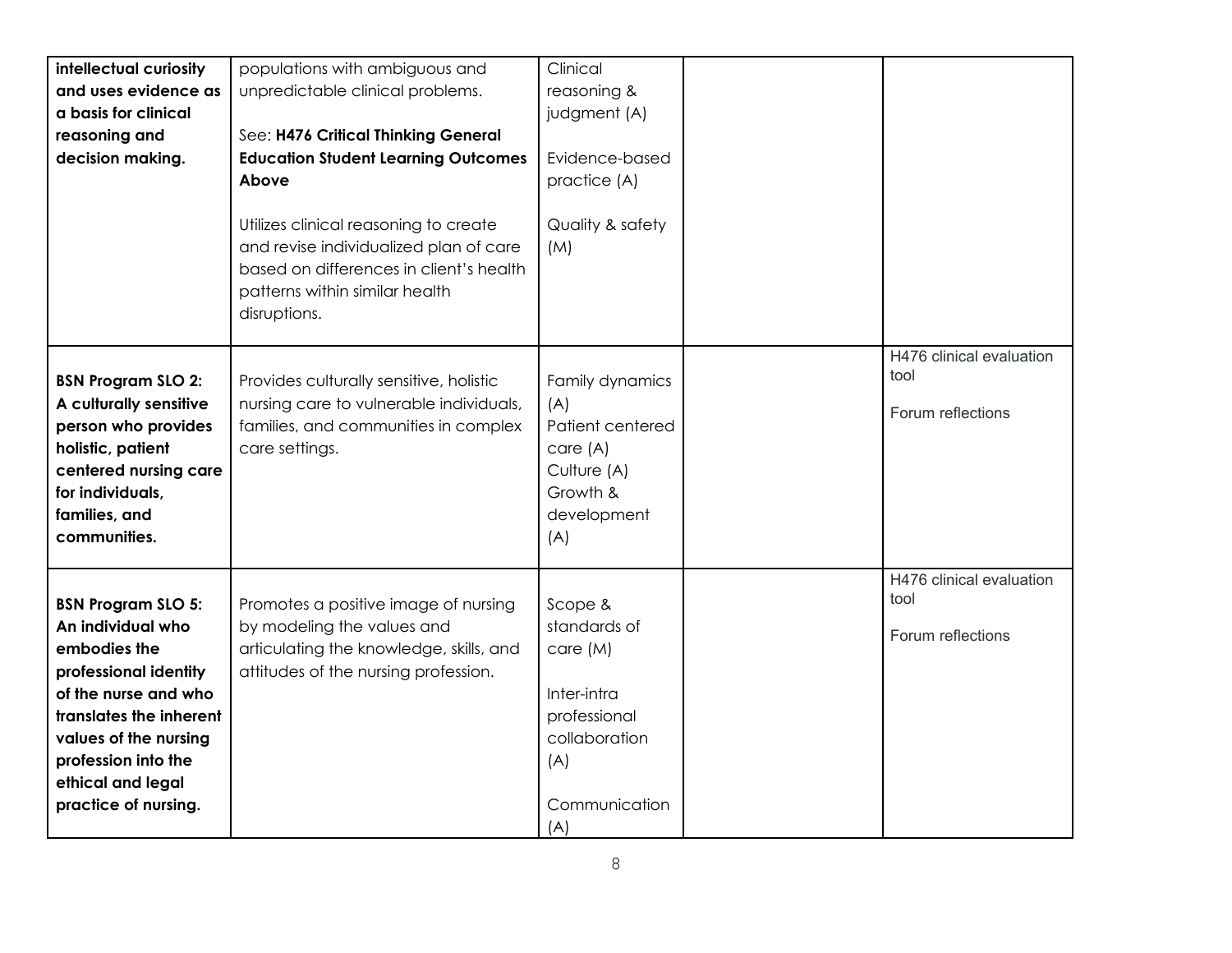| intellectual curiosity<br>and uses evidence as<br>a basis for clinical<br>reasoning and<br>decision making.                                                                                                                             | populations with ambiguous and<br>unpredictable clinical problems.<br>See: H476 Critical Thinking General<br><b>Education Student Learning Outcomes</b><br>Above<br>Utilizes clinical reasoning to create | Clinical<br>reasoning &<br>judgment (A)<br>Evidence-based<br>practice (A)<br>Quality & safety                      |                                                       |
|-----------------------------------------------------------------------------------------------------------------------------------------------------------------------------------------------------------------------------------------|-----------------------------------------------------------------------------------------------------------------------------------------------------------------------------------------------------------|--------------------------------------------------------------------------------------------------------------------|-------------------------------------------------------|
|                                                                                                                                                                                                                                         | and revise individualized plan of care<br>based on differences in client's health<br>patterns within similar health<br>disruptions.                                                                       | (M)                                                                                                                |                                                       |
| <b>BSN Program SLO 2:</b><br>A culturally sensitive<br>person who provides<br>holistic, patient<br>centered nursing care<br>for individuals,<br>families, and<br>communities.                                                           | Provides culturally sensitive, holistic<br>nursing care to vulnerable individuals,<br>families, and communities in complex<br>care settings.                                                              | Family dynamics<br>(A)<br>Patient centered<br>care (A)<br>Culture (A)<br>Growth &<br>development<br>(A)            | H476 clinical evaluation<br>tool<br>Forum reflections |
| <b>BSN Program SLO 5:</b><br>An individual who<br>embodies the<br>professional identity<br>of the nurse and who<br>translates the inherent<br>values of the nursing<br>profession into the<br>ethical and legal<br>practice of nursing. | Promotes a positive image of nursing<br>by modeling the values and<br>articulating the knowledge, skills, and<br>attitudes of the nursing profession.                                                     | Scope &<br>standards of<br>care (M)<br>Inter-intra<br>professional<br>collaboration<br>(A)<br>Communication<br>(A) | H476 clinical evaluation<br>tool<br>Forum reflections |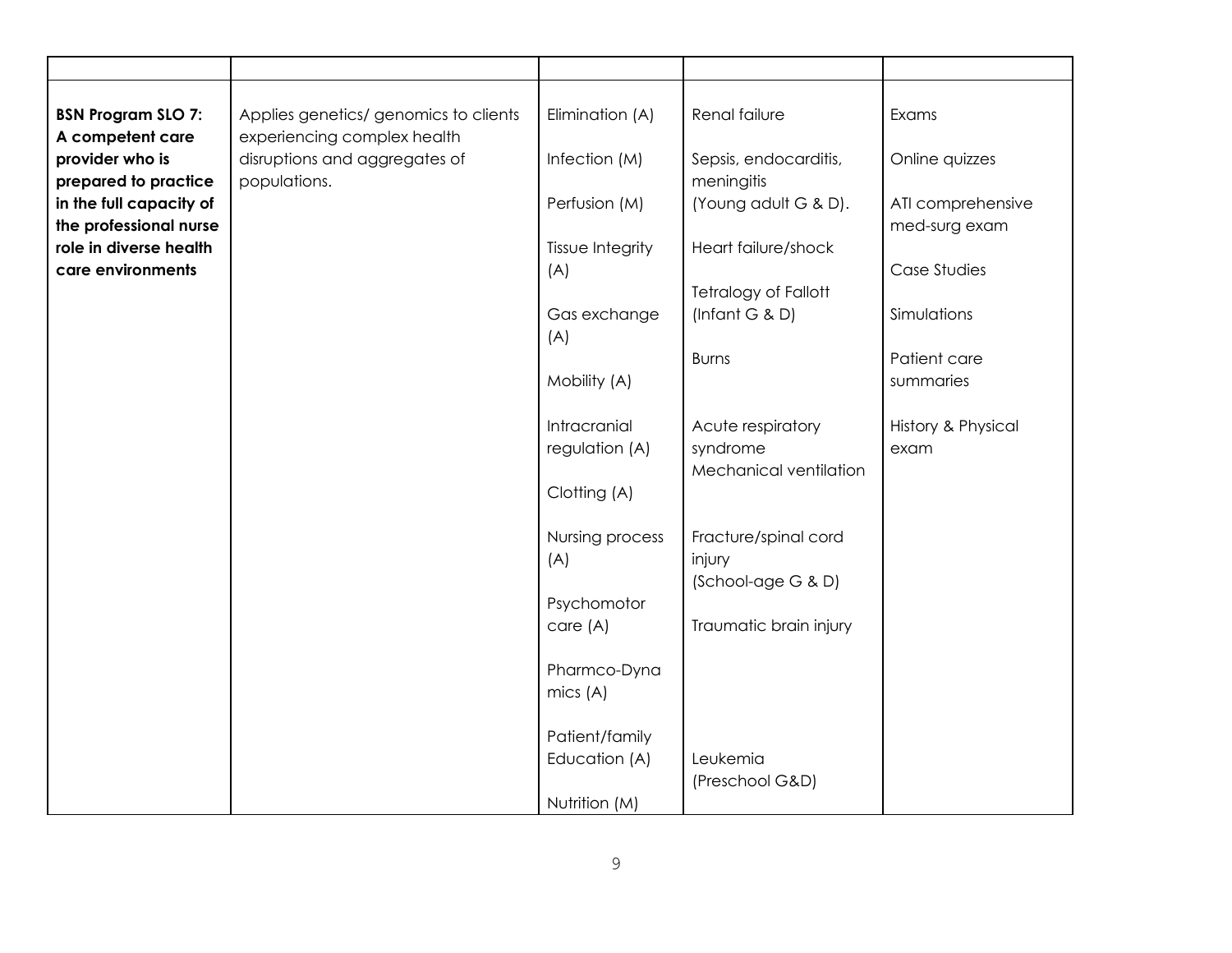| <b>BSN Program SLO 7:</b><br>A competent care                             | Applies genetics/ genomics to clients<br>experiencing complex health | Elimination (A)                | Renal failure                                           | Exams                              |
|---------------------------------------------------------------------------|----------------------------------------------------------------------|--------------------------------|---------------------------------------------------------|------------------------------------|
| provider who is                                                           | disruptions and aggregates of                                        | Infection (M)                  | Sepsis, endocarditis,                                   | Online quizzes                     |
| prepared to practice<br>in the full capacity of<br>the professional nurse | populations.                                                         | Perfusion (M)                  | meningitis<br>(Young adult G & D).                      | ATI comprehensive<br>med-surg exam |
| role in diverse health                                                    |                                                                      | Tissue Integrity               | Heart failure/shock                                     |                                    |
| care environments                                                         |                                                                      | (A)                            | Tetralogy of Fallott                                    | Case Studies                       |
|                                                                           |                                                                      | Gas exchange<br>(A)            | (Infant $G$ & D)                                        | Simulations                        |
|                                                                           |                                                                      |                                | <b>Burns</b>                                            | Patient care                       |
|                                                                           |                                                                      | Mobility (A)                   |                                                         | summaries                          |
|                                                                           |                                                                      | Intracranial<br>regulation (A) | Acute respiratory<br>syndrome<br>Mechanical ventilation | History & Physical<br>exam         |
|                                                                           |                                                                      | Clotting (A)                   |                                                         |                                    |
|                                                                           |                                                                      | Nursing process<br>(A)         | Fracture/spinal cord<br>injury<br>(School-age G & D)    |                                    |
|                                                                           |                                                                      | Psychomotor                    |                                                         |                                    |
|                                                                           |                                                                      | care (A)                       | Traumatic brain injury                                  |                                    |
|                                                                           |                                                                      | Pharmco-Dyna<br>mics (A)       |                                                         |                                    |
|                                                                           |                                                                      |                                |                                                         |                                    |
|                                                                           |                                                                      | Patient/family                 |                                                         |                                    |
|                                                                           |                                                                      | Education (A)                  | Leukemia<br>(Preschool G&D)                             |                                    |
|                                                                           |                                                                      | Nutrition (M)                  |                                                         |                                    |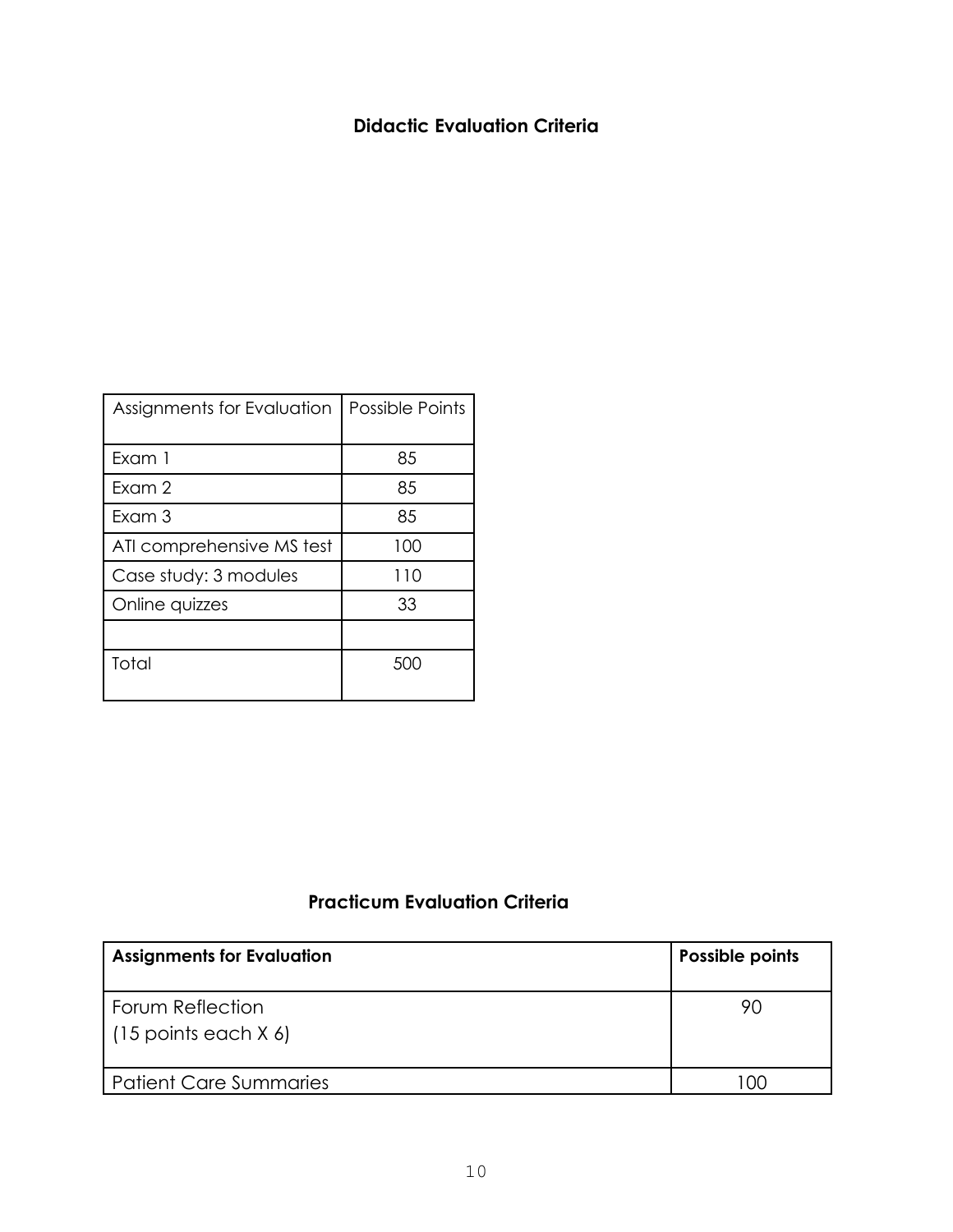### **Didactic Evaluation Criteria**

| Assignments for Evaluation | <b>Possible Points</b> |
|----------------------------|------------------------|
|                            |                        |
| Exam 1                     | 85                     |
| Fxam 2                     | 85                     |
| Exam 3                     | 85                     |
| ATI comprehensive MS test  | 100                    |
| Case study: 3 modules      | 110                    |
| Online quizzes             | 33                     |
|                            |                        |
| Total                      | 500                    |

## **Practicum Evaluation Criteria**

| <b>Assignments for Evaluation</b>          | Possible points |
|--------------------------------------------|-----------------|
| Forum Reflection<br>$(15$ points each X 6) | 90              |
| Patient Care Summaries                     | n               |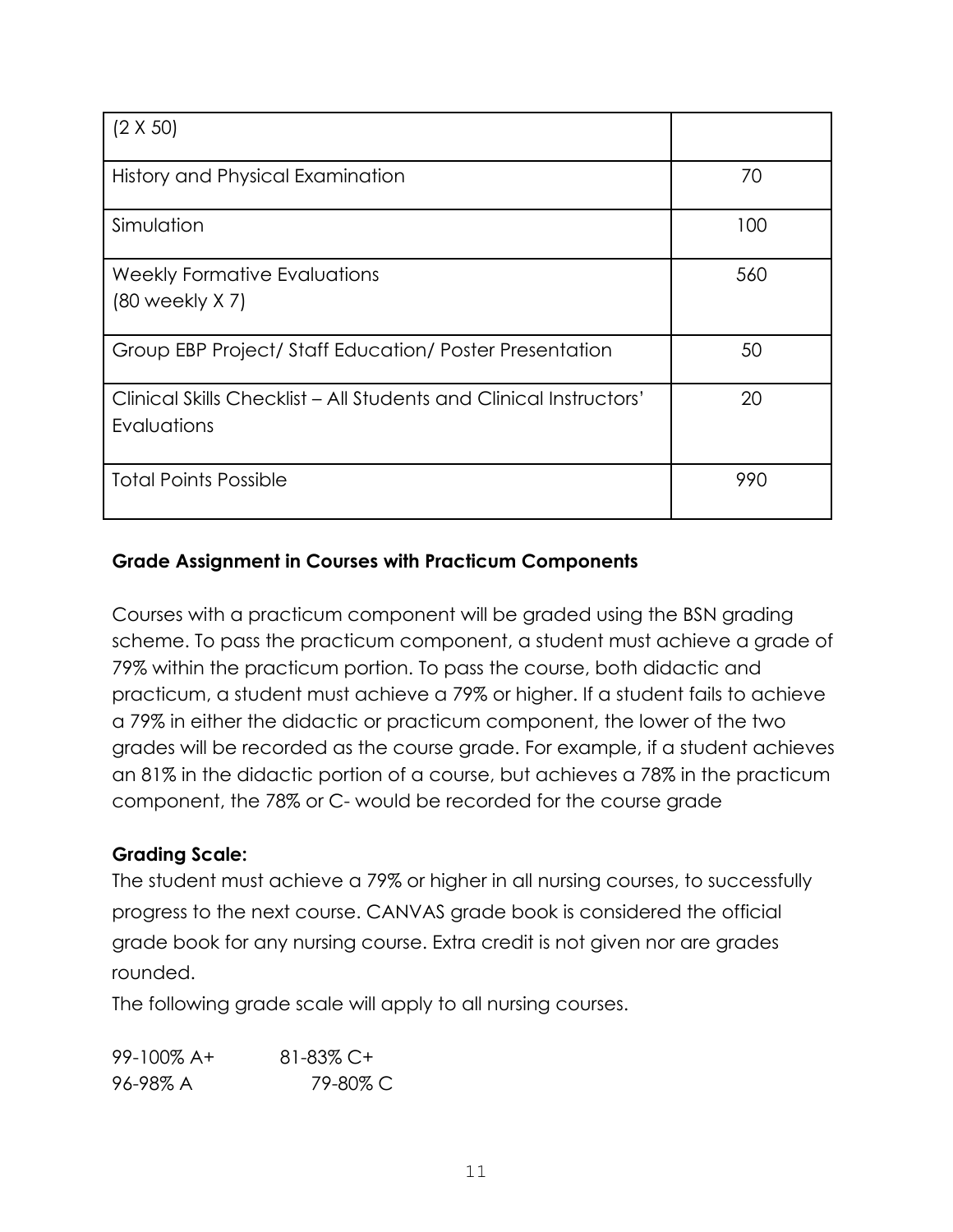| $(2 \times 50)$                                                                   |     |
|-----------------------------------------------------------------------------------|-----|
| History and Physical Examination                                                  | 70  |
| Simulation                                                                        | 100 |
| Weekly Formative Evaluations<br>$(80$ weekly $X$ 7)                               | 560 |
| Group EBP Project/ Staff Education/ Poster Presentation                           | 50  |
| Clinical Skills Checklist - All Students and Clinical Instructors'<br>Evaluations | 20  |
| <b>Total Points Possible</b>                                                      | 990 |

## **Grade Assignment in Courses with Practicum Components**

Courses with a practicum component will be graded using the BSN grading scheme. To pass the practicum component, a student must achieve a grade of 79% within the practicum portion. To pass the course, both didactic and practicum, a student must achieve a 79% or higher. If a student fails to achieve a 79% in either the didactic or practicum component, the lower of the two grades will be recorded as the course grade. For example, if a student achieves an 81% in the didactic portion of a course, but achieves a 78% in the practicum component, the 78% or C- would be recorded for the course grade

### **Grading Scale:**

The student must achieve a 79% or higher in all nursing courses, to successfully progress to the next course. CANVAS grade book is considered the official grade book for any nursing course. Extra credit is not given nor are grades rounded.

The following grade scale will apply to all nursing courses.

| $99 - 100\%$ A+ | 81-83% C+ |
|-----------------|-----------|
| 96-98% A        | 79-80% C  |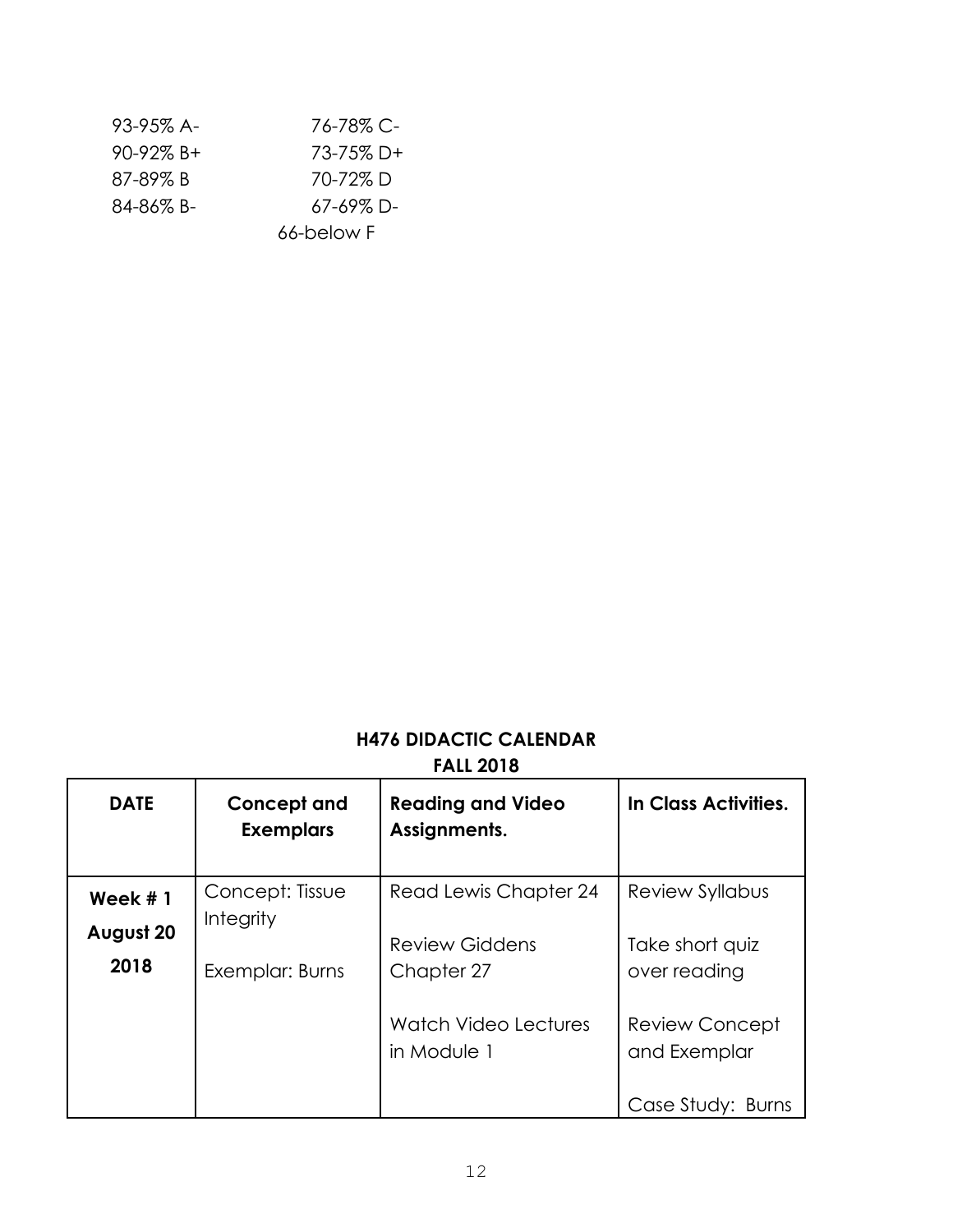| 93-95% A-       | 76-78% C-  |
|-----------------|------------|
| $90 - 92\% B +$ | 73-75% D+  |
| 87-89% B        | 70-72%D    |
| 84-86% B-       | 67-69% D-  |
|                 | 66-below F |

# **H476 DIDACTIC CALENDAR FALL 2018**

| <b>DATE</b>       | Concept and<br><b>Exemplars</b>     | <b>Reading and Video</b><br>Assignments. | In Class Activities.                  |
|-------------------|-------------------------------------|------------------------------------------|---------------------------------------|
| Week $#1$         | Concept: Tissue<br><b>Integrity</b> | Read Lewis Chapter 24                    | <b>Review Syllabus</b>                |
| August 20<br>2018 | Exemplar: Burns                     | <b>Review Giddens</b><br>Chapter 27      | Take short quiz<br>over reading       |
|                   |                                     | Watch Video Lectures<br>in Module 1      | <b>Review Concept</b><br>and Exemplar |
|                   |                                     |                                          | Case Study: Burns                     |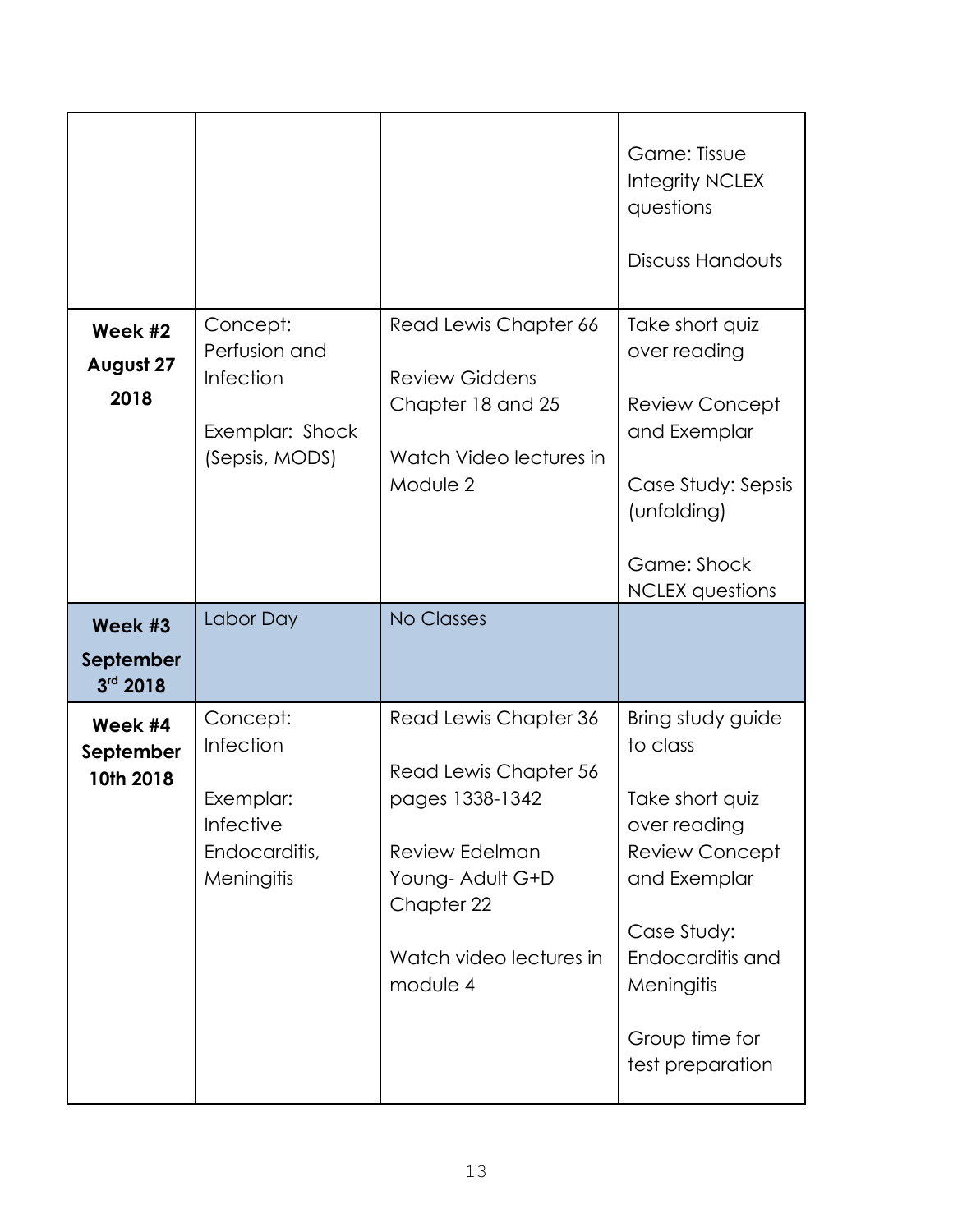|                                    |                                                                                |                                                                                                                                                                     | Game: Tissue<br><b>Integrity NCLEX</b><br>questions<br><b>Discuss Handouts</b>                                                                                                                   |
|------------------------------------|--------------------------------------------------------------------------------|---------------------------------------------------------------------------------------------------------------------------------------------------------------------|--------------------------------------------------------------------------------------------------------------------------------------------------------------------------------------------------|
| Week #2<br>August 27<br>2018       | Concept:<br>Perfusion and<br>Infection<br>Exemplar: Shock<br>(Sepsis, MODS)    | Read Lewis Chapter 66<br><b>Review Giddens</b><br>Chapter 18 and 25<br>Watch Video lectures in<br>Module 2                                                          | Take short quiz<br>over reading<br><b>Review Concept</b><br>and Exemplar<br>Case Study: Sepsis<br>(unfolding)<br>Game: Shock<br><b>NCLEX</b> questions                                           |
| Week #3<br>September<br>$3rd$ 2018 | Labor Day                                                                      | <b>No Classes</b>                                                                                                                                                   |                                                                                                                                                                                                  |
| Week #4<br>September<br>10th 2018  | Concept:<br>Infection<br>Exemplar:<br>Infective<br>Endocarditis,<br>Meningitis | Read Lewis Chapter 36<br>Read Lewis Chapter 56<br>pages 1338-1342<br><b>Review Edelman</b><br>Young- Adult G+D<br>Chapter 22<br>Watch video lectures in<br>module 4 | Bring study guide<br>to class<br>Take short quiz<br>over reading<br><b>Review Concept</b><br>and Exemplar<br>Case Study:<br>Endocarditis and<br>Meningitis<br>Group time for<br>test preparation |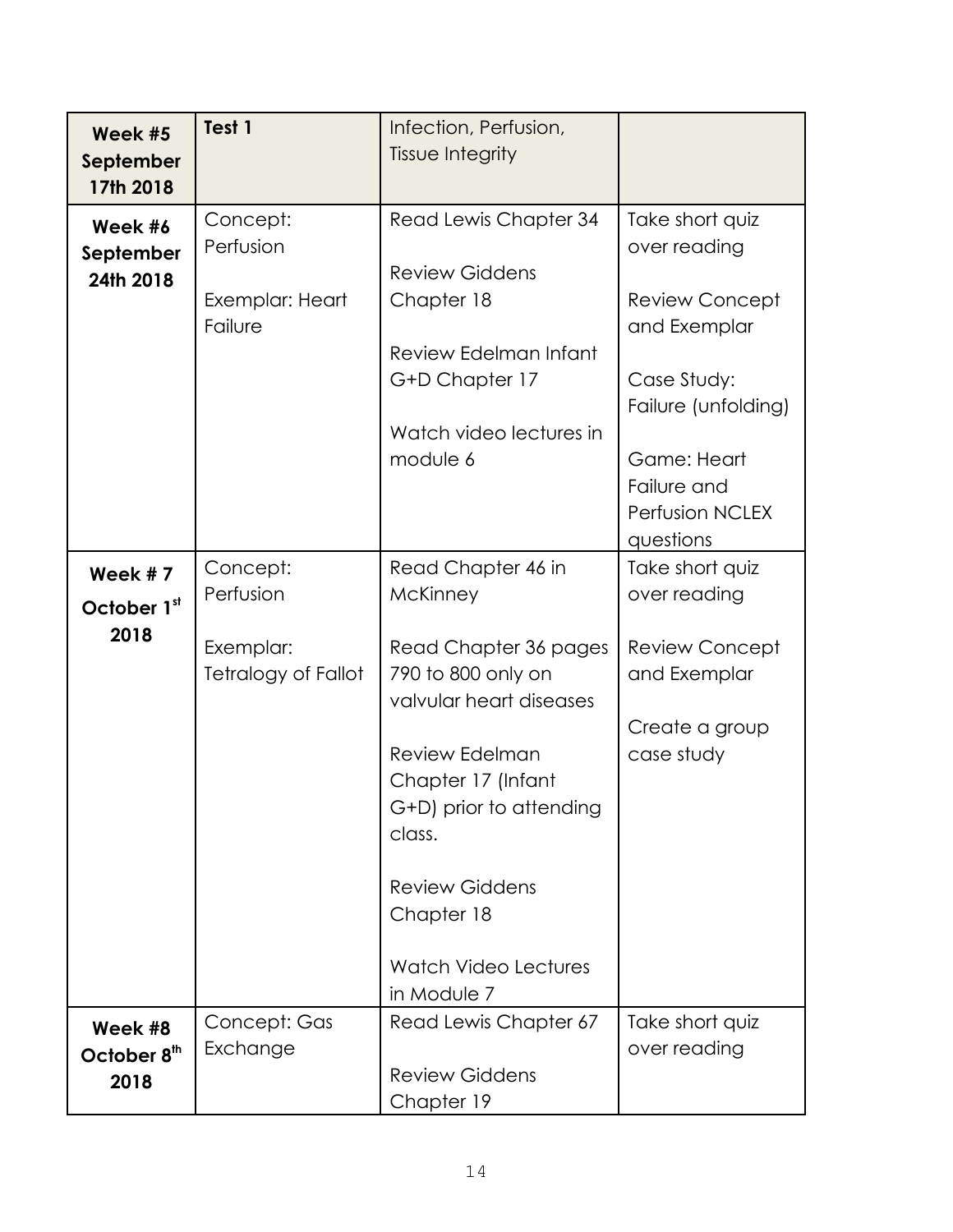| Week #5<br>September<br>17th 2018          | Test 1                                                           | Infection, Perfusion,<br>Tissue Integrity                                                                                                                                                                                                                                         |                                                                                                                                                                              |
|--------------------------------------------|------------------------------------------------------------------|-----------------------------------------------------------------------------------------------------------------------------------------------------------------------------------------------------------------------------------------------------------------------------------|------------------------------------------------------------------------------------------------------------------------------------------------------------------------------|
| Week #6<br>September<br>24th 2018          | Concept:<br>Perfusion<br>Exemplar: Heart<br>Failure              | Read Lewis Chapter 34<br><b>Review Giddens</b><br>Chapter 18<br>Review Edelman Infant<br>G+D Chapter 17<br>Watch video lectures in<br>module 6                                                                                                                                    | Take short quiz<br>over reading<br><b>Review Concept</b><br>and Exemplar<br>Case Study:<br>Failure (unfolding)<br>Game: Heart<br>Failure and<br>Perfusion NCLEX<br>questions |
| Week #7<br>October 1st<br>2018             | Concept:<br>Perfusion<br>Exemplar:<br><b>Tetralogy of Fallot</b> | Read Chapter 46 in<br>McKinney<br>Read Chapter 36 pages<br>790 to 800 only on<br>valvular heart diseases<br><b>Review Edelman</b><br>Chapter 17 (Infant<br>G+D) prior to attending<br>class.<br><b>Review Giddens</b><br>Chapter 18<br><b>Watch Video Lectures</b><br>in Module 7 | Take short quiz<br>over reading<br><b>Review Concept</b><br>and Exemplar<br>Create a group<br>case study                                                                     |
| Week #8<br>October 8 <sup>th</sup><br>2018 | Concept: Gas<br>Exchange                                         | Read Lewis Chapter 67<br><b>Review Giddens</b><br>Chapter 19                                                                                                                                                                                                                      | Take short quiz<br>over reading                                                                                                                                              |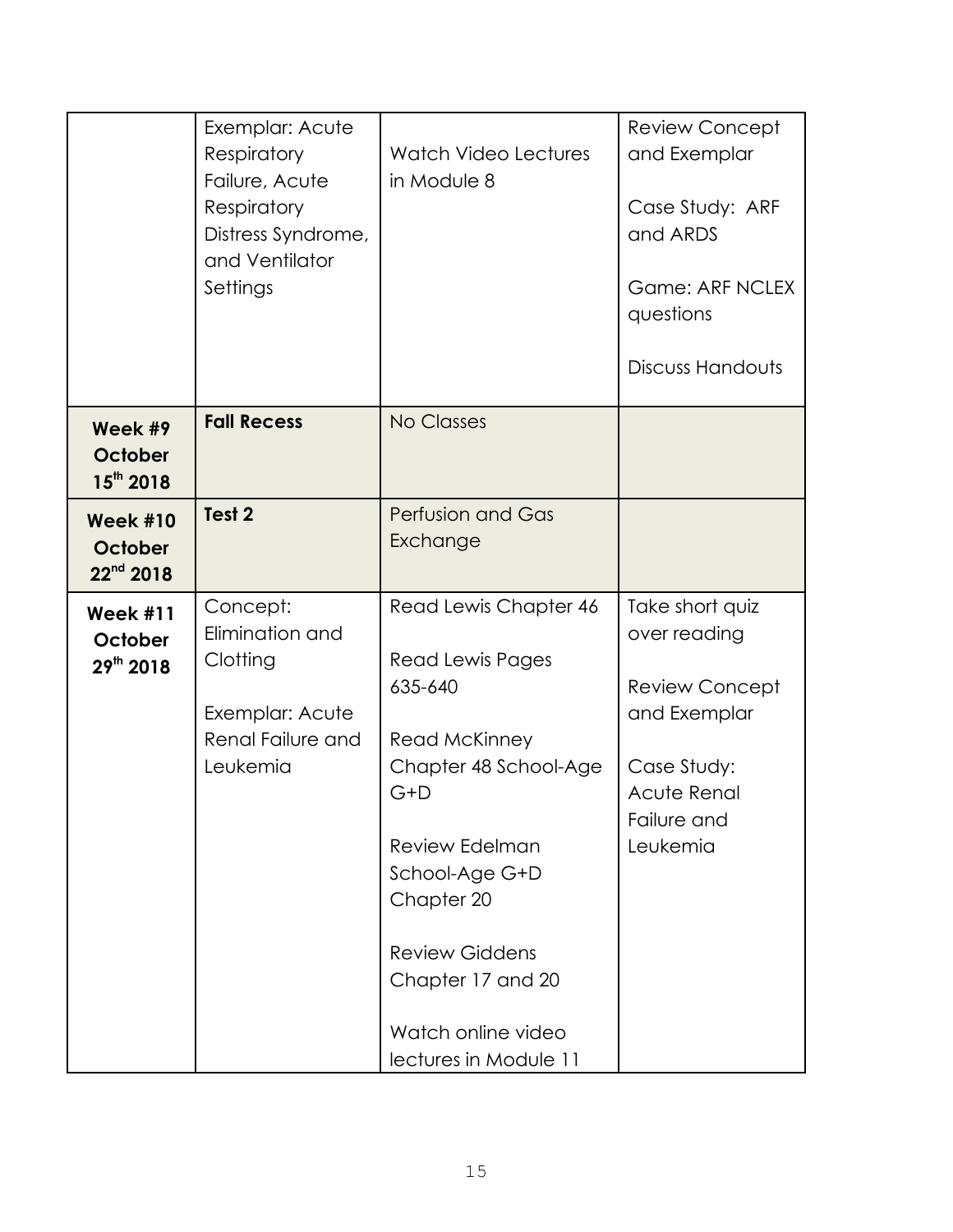|                                           | Exemplar: Acute<br>Respiratory<br>Failure, Acute<br>Respiratory<br>Distress Syndrome,<br>and Ventilator<br>Settings | <b>Watch Video Lectures</b><br>in Module 8                                                                                                                                                                                                             | <b>Review Concept</b><br>and Exemplar<br>Case Study: ARF<br>and ARDS<br><b>Game: ARF NCLEX</b><br>questions<br>Discuss Handouts   |
|-------------------------------------------|---------------------------------------------------------------------------------------------------------------------|--------------------------------------------------------------------------------------------------------------------------------------------------------------------------------------------------------------------------------------------------------|-----------------------------------------------------------------------------------------------------------------------------------|
| Week #9<br>October<br>$15^{th}$ 2018      | <b>Fall Recess</b>                                                                                                  | <b>No Classes</b>                                                                                                                                                                                                                                      |                                                                                                                                   |
| <b>Week #10</b><br>October<br>$22nd$ 2018 | Test <sub>2</sub>                                                                                                   | Perfusion and Gas<br>Exchange                                                                                                                                                                                                                          |                                                                                                                                   |
| <b>Week #11</b><br>October<br>29th 2018   | Concept:<br>Elimination and<br>Clotting<br>Exemplar: Acute<br>Renal Failure and<br>Leukemia                         | Read Lewis Chapter 46<br>Read Lewis Pages<br>635-640<br>Read McKinney<br>Chapter 48 School-Age<br>$G+D$<br>Review Edelman<br>School-Age G+D<br>Chapter 20<br><b>Review Giddens</b><br>Chapter 17 and 20<br>Watch online video<br>lectures in Module 11 | Take short quiz<br>over reading<br><b>Review Concept</b><br>and Exemplar<br>Case Study:<br>Acute Renal<br>Failure and<br>Leukemia |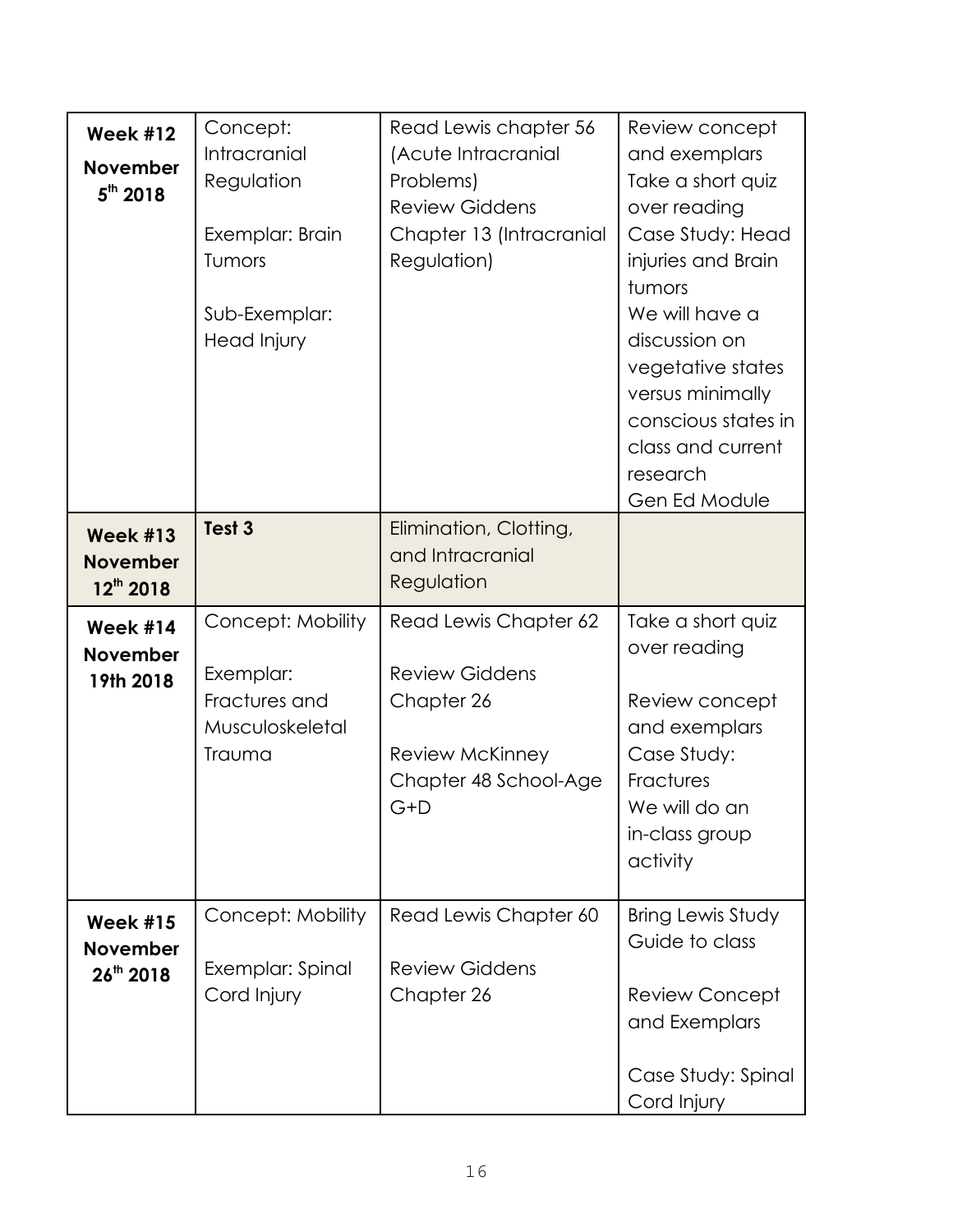| <b>Week #12</b><br><b>November</b><br>$5th$ 2018     | Concept:<br>Intracranial<br>Regulation<br>Exemplar: Brain<br>Tumors<br>Sub-Exemplar:<br>Head Injury | Read Lewis chapter 56<br>(Acute Intracranial<br>Problems)<br><b>Review Giddens</b><br>Chapter 13 (Intracranial<br>Regulation) | Review concept<br>and exemplars<br>Take a short quiz<br>over reading<br>Case Study: Head<br>injuries and Brain<br>tumors<br>We will have a<br>discussion on<br>vegetative states<br>versus minimally<br>conscious states in<br>class and current<br>research<br>Gen Ed Module |
|------------------------------------------------------|-----------------------------------------------------------------------------------------------------|-------------------------------------------------------------------------------------------------------------------------------|-------------------------------------------------------------------------------------------------------------------------------------------------------------------------------------------------------------------------------------------------------------------------------|
| <b>Week #13</b><br><b>November</b><br>$12^{th}$ 2018 | Test <sub>3</sub>                                                                                   | Elimination, Clotting,<br>and Intracranial<br>Regulation                                                                      |                                                                                                                                                                                                                                                                               |
| <b>Week #14</b><br><b>November</b><br>19th 2018      | Concept: Mobility<br>Exemplar:<br>Fractures and<br>Musculoskeletal<br>Trauma                        | Read Lewis Chapter 62<br><b>Review Giddens</b><br>Chapter 26<br><b>Review McKinney</b><br>Chapter 48 School-Age<br>G+D        | Take a short quiz<br>over reading<br>Review concept<br>and exemplars<br>Case Study:<br>Fractures<br>We will do an<br>in-class group<br>activity                                                                                                                               |
| <b>Week #15</b><br><b>November</b><br>$26^{th}$ 2018 | Concept: Mobility<br>Exemplar: Spinal<br>Cord Injury                                                | Read Lewis Chapter 60<br><b>Review Giddens</b><br>Chapter 26                                                                  | Bring Lewis Study<br>Guide to class<br><b>Review Concept</b><br>and Exemplars<br>Case Study: Spinal<br>Cord Injury                                                                                                                                                            |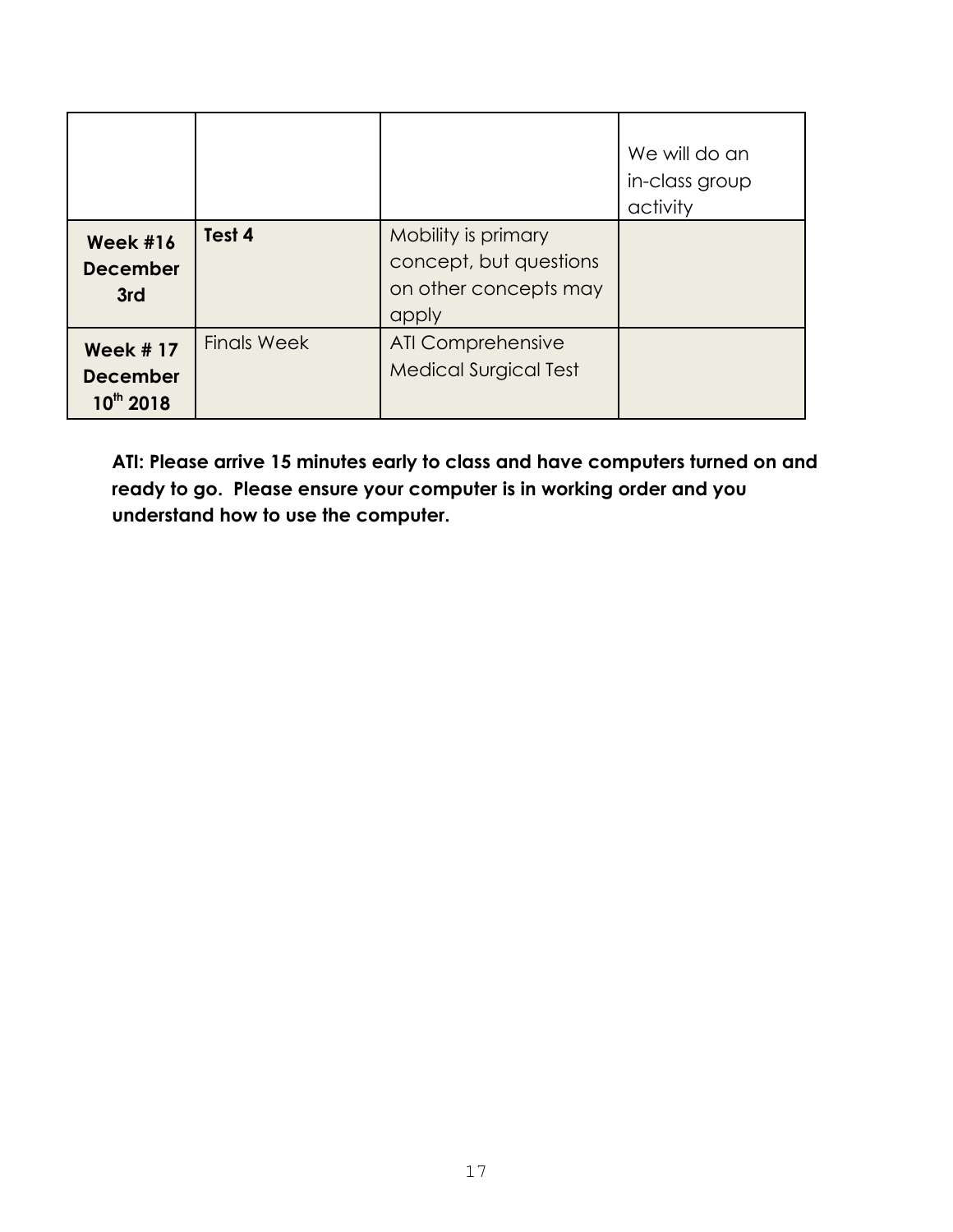|                                                 |                    |                                                                                 | We will do an<br>in-class group<br>activity |
|-------------------------------------------------|--------------------|---------------------------------------------------------------------------------|---------------------------------------------|
| <b>Week #16</b><br><b>December</b><br>3rd       | Test 4             | Mobility is primary<br>concept, but questions<br>on other concepts may<br>apply |                                             |
| <b>Week #17</b><br><b>December</b><br>10th 2018 | <b>Finals Week</b> | <b>ATI Comprehensive</b><br><b>Medical Surgical Test</b>                        |                                             |

**ATI: Please arrive 15 minutes early to class and have computers turned on and ready to go. Please ensure your computer is in working order and you understand how to use the computer.**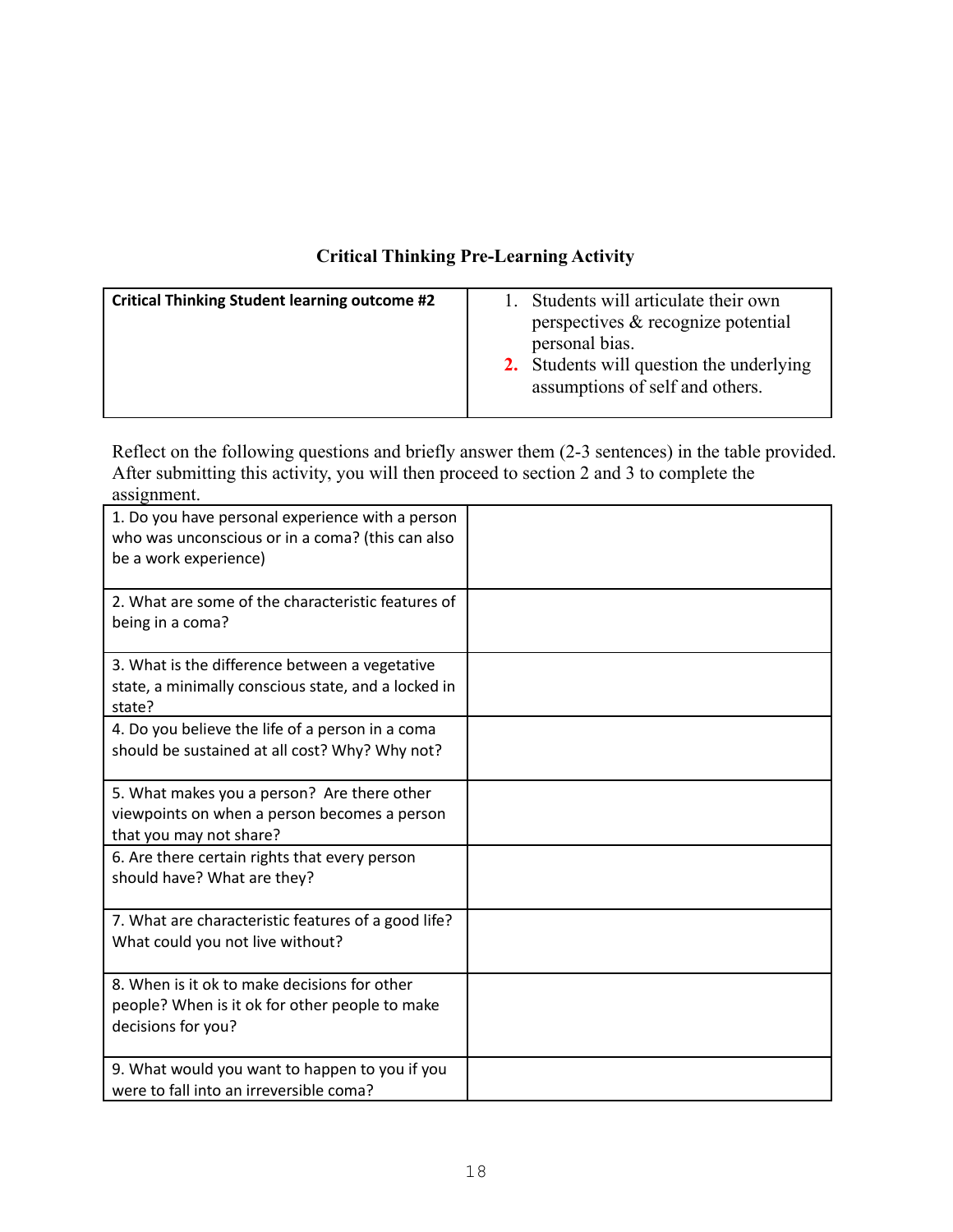### **Critical Thinking Pre-Learning Activity**

| <b>Critical Thinking Student learning outcome #2</b> | Students will articulate their own                         |
|------------------------------------------------------|------------------------------------------------------------|
|                                                      | perspectives & recognize potential                         |
|                                                      | personal bias.<br>2. Students will question the underlying |
|                                                      | assumptions of self and others.                            |

Reflect on the following questions and briefly answer them (2-3 sentences) in the table provided. After submitting this activity, you will then proceed to section 2 and 3 to complete the assignment.

| $\mu$ <sub>221</sub> $\mu$ <sub>11111</sub><br>1. Do you have personal experience with a person<br>who was unconscious or in a coma? (this can also<br>be a work experience) |  |
|------------------------------------------------------------------------------------------------------------------------------------------------------------------------------|--|
| 2. What are some of the characteristic features of<br>being in a coma?                                                                                                       |  |
| 3. What is the difference between a vegetative<br>state, a minimally conscious state, and a locked in<br>state?                                                              |  |
| 4. Do you believe the life of a person in a coma<br>should be sustained at all cost? Why? Why not?                                                                           |  |
| 5. What makes you a person? Are there other<br>viewpoints on when a person becomes a person<br>that you may not share?                                                       |  |
| 6. Are there certain rights that every person<br>should have? What are they?                                                                                                 |  |
| 7. What are characteristic features of a good life?<br>What could you not live without?                                                                                      |  |
| 8. When is it ok to make decisions for other<br>people? When is it ok for other people to make<br>decisions for you?                                                         |  |
| 9. What would you want to happen to you if you<br>were to fall into an irreversible coma?                                                                                    |  |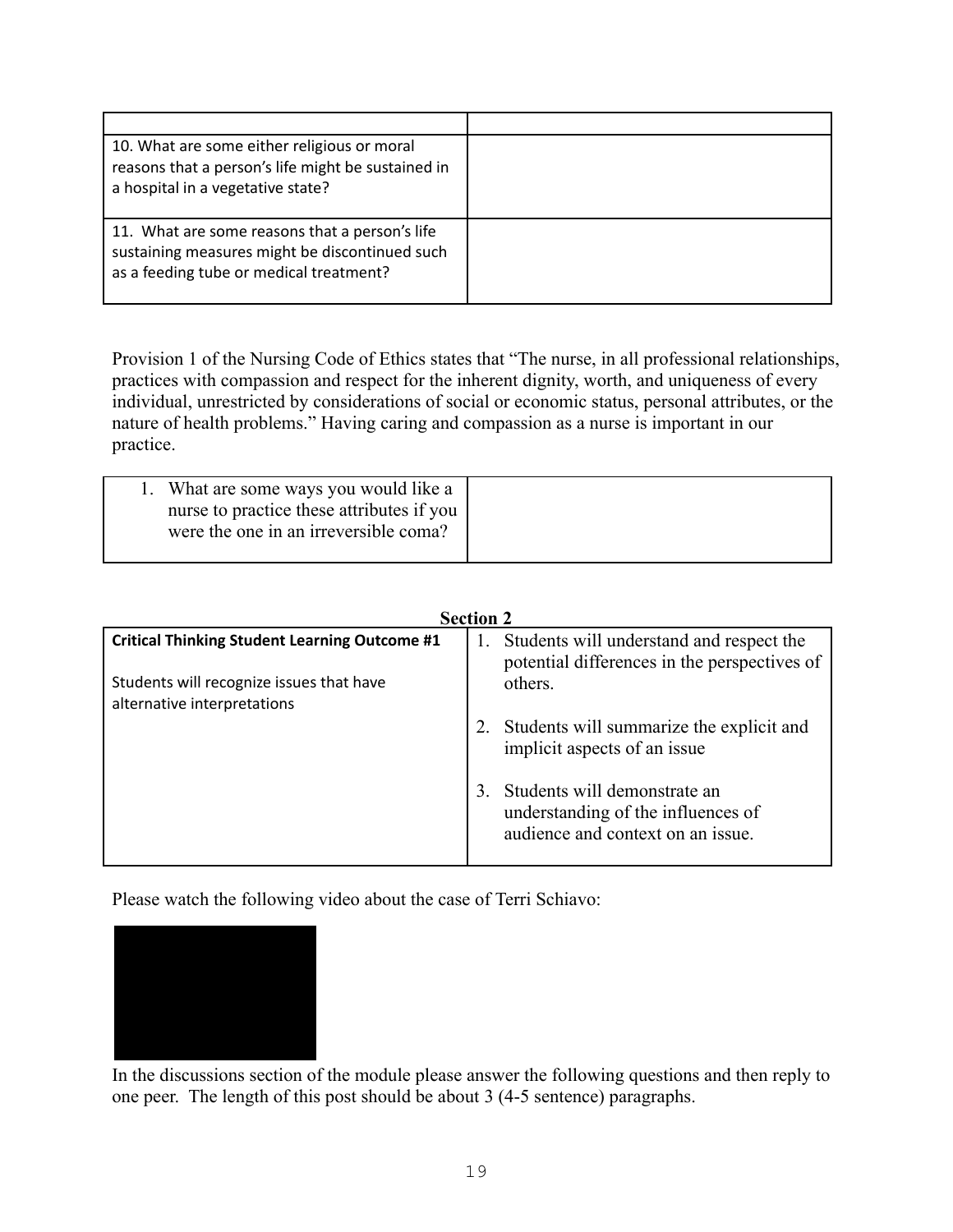| 10. What are some either religious or moral<br>reasons that a person's life might be sustained in<br>a hospital in a vegetative state?      |  |
|---------------------------------------------------------------------------------------------------------------------------------------------|--|
| 11. What are some reasons that a person's life<br>sustaining measures might be discontinued such<br>as a feeding tube or medical treatment? |  |

Provision 1 of the Nursing Code of Ethics states that "The nurse, in all professional relationships, practices with compassion and respect for the inherent dignity, worth, and uniqueness of every individual, unrestricted by considerations of social or economic status, personal attributes, or the nature of health problems." Having caring and compassion as a nurse is important in our practice.

| 1. What are some ways you would like a<br>nurse to practice these attributes if you<br>were the one in an irreversible coma? |  |
|------------------------------------------------------------------------------------------------------------------------------|--|
|                                                                                                                              |  |

| <b>Section 2</b>                                                        |                                                                                                         |  |
|-------------------------------------------------------------------------|---------------------------------------------------------------------------------------------------------|--|
| <b>Critical Thinking Student Learning Outcome #1</b>                    | Students will understand and respect the<br>potential differences in the perspectives of                |  |
| Students will recognize issues that have<br>alternative interpretations | others.                                                                                                 |  |
|                                                                         | Students will summarize the explicit and<br>implicit aspects of an issue                                |  |
|                                                                         | Students will demonstrate an<br>understanding of the influences of<br>audience and context on an issue. |  |

Please watch the following video about the case of Terri Schiavo:



In the discussions section of the module please answer the following questions and then reply to one peer. The length of this post should be about 3 (4-5 sentence) paragraphs.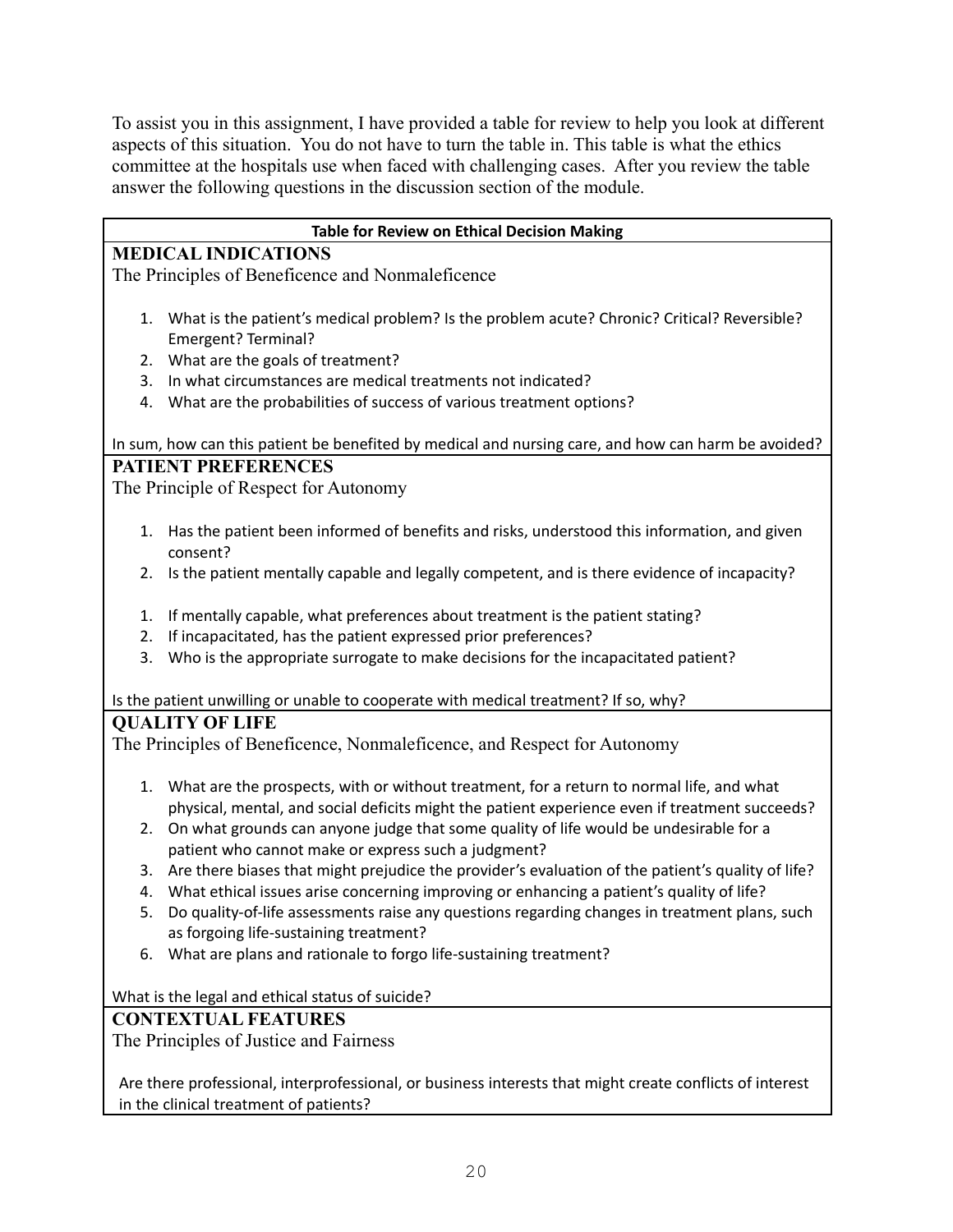To assist you in this assignment, I have provided a table for review to help you look at different aspects of this situation. You do not have to turn the table in. This table is what the ethics committee at the hospitals use when faced with challenging cases. After you review the table answer the following questions in the discussion section of the module.

| Table for Review on Ethical Decision Making                                                                                                        |
|----------------------------------------------------------------------------------------------------------------------------------------------------|
| <b>MEDICAL INDICATIONS</b>                                                                                                                         |
| The Principles of Beneficence and Nonmaleficence                                                                                                   |
|                                                                                                                                                    |
| What is the patient's medical problem? Is the problem acute? Chronic? Critical? Reversible?<br>1.                                                  |
| Emergent? Terminal?                                                                                                                                |
| What are the goals of treatment?<br>2.                                                                                                             |
| In what circumstances are medical treatments not indicated?<br>3.                                                                                  |
| What are the probabilities of success of various treatment options?<br>4.                                                                          |
|                                                                                                                                                    |
| In sum, how can this patient be benefited by medical and nursing care, and how can harm be avoided?                                                |
| <b>PATIENT PREFERENCES</b>                                                                                                                         |
| The Principle of Respect for Autonomy                                                                                                              |
|                                                                                                                                                    |
| Has the patient been informed of benefits and risks, understood this information, and given<br>1.<br>consent?                                      |
| Is the patient mentally capable and legally competent, and is there evidence of incapacity?<br>2.                                                  |
|                                                                                                                                                    |
| If mentally capable, what preferences about treatment is the patient stating?<br>1.                                                                |
| If incapacitated, has the patient expressed prior preferences?<br>2.                                                                               |
| Who is the appropriate surrogate to make decisions for the incapacitated patient?<br>3.                                                            |
|                                                                                                                                                    |
| Is the patient unwilling or unable to cooperate with medical treatment? If so, why?                                                                |
| <b>QUALITY OF LIFE</b>                                                                                                                             |
| The Principles of Beneficence, Nonmaleficence, and Respect for Autonomy                                                                            |
|                                                                                                                                                    |
| What are the prospects, with or without treatment, for a return to normal life, and what<br>1.                                                     |
| physical, mental, and social deficits might the patient experience even if treatment succeeds?                                                     |
| On what grounds can anyone judge that some quality of life would be undesirable for a<br>2.                                                        |
| patient who cannot make or express such a judgment?                                                                                                |
| Are there biases that might prejudice the provider's evaluation of the patient's quality of life?<br>3.                                            |
| What ethical issues arise concerning improving or enhancing a patient's quality of life?<br>4.                                                     |
| 5.<br>Do quality-of-life assessments raise any questions regarding changes in treatment plans, such                                                |
| as forgoing life-sustaining treatment?                                                                                                             |
| What are plans and rationale to forgo life-sustaining treatment?<br>6.                                                                             |
|                                                                                                                                                    |
| What is the legal and ethical status of suicide?                                                                                                   |
| <b>CONTEXTUAL FEATURES</b>                                                                                                                         |
| The Principles of Justice and Fairness                                                                                                             |
|                                                                                                                                                    |
| Are there professional, interprofessional, or business interests that might create conflicts of interest<br>in the clinical treatment of patients? |
|                                                                                                                                                    |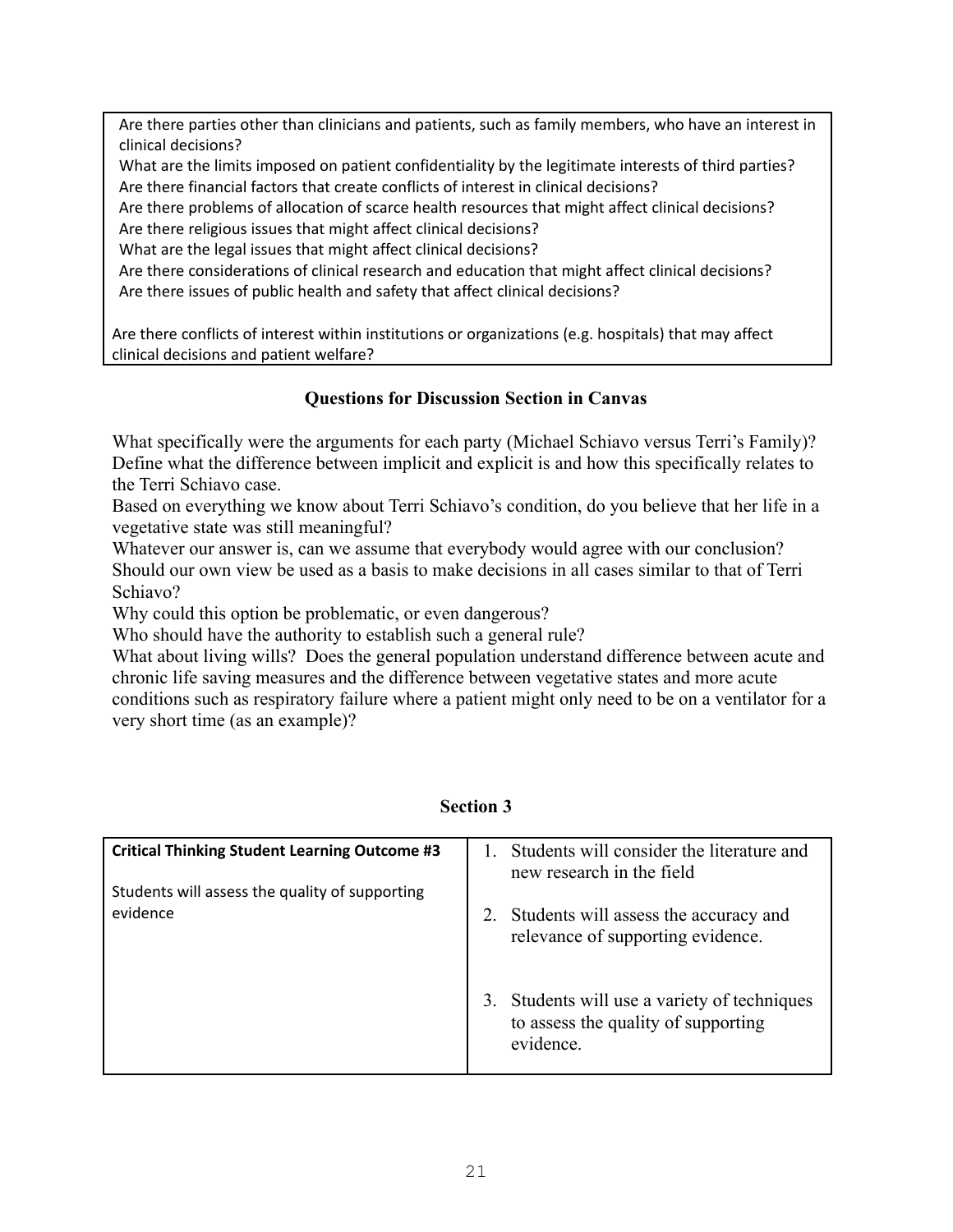Are there parties other than clinicians and patients, such as family members, who have an interest in clinical decisions?

What are the limits imposed on patient confidentiality by the legitimate interests of third parties? Are there financial factors that create conflicts of interest in clinical decisions?

Are there problems of allocation of scarce health resources that might affect clinical decisions? Are there religious issues that might affect clinical decisions?

What are the legal issues that might affect clinical decisions?

Are there considerations of clinical research and education that might affect clinical decisions? Are there issues of public health and safety that affect clinical decisions?

Are there conflicts of interest within institutions or organizations (e.g. hospitals) that may affect clinical decisions and patient welfare?

### **Questions for Discussion Section in Canvas**

What specifically were the arguments for each party (Michael Schiavo versus Terri's Family)? Define what the difference between implicit and explicit is and how this specifically relates to the Terri Schiavo case.

Based on everything we know about Terri Schiavo's condition, do you believe that her life in a vegetative state was still meaningful?

Whatever our answer is, can we assume that everybody would agree with our conclusion? Should our own view be used as a basis to make decisions in all cases similar to that of Terri Schiavo?

Why could this option be problematic, or even dangerous?

Who should have the authority to establish such a general rule?

What about living wills? Does the general population understand difference between acute and chronic life saving measures and the difference between vegetative states and more acute conditions such as respiratory failure where a patient might only need to be on a ventilator for a very short time (as an example)?

| <b>Critical Thinking Student Learning Outcome #3</b> | Students will consider the literature and<br>new research in the field                           |
|------------------------------------------------------|--------------------------------------------------------------------------------------------------|
| Students will assess the quality of supporting       |                                                                                                  |
| evidence                                             | Students will assess the accuracy and<br>relevance of supporting evidence.                       |
|                                                      | 3. Students will use a variety of techniques<br>to assess the quality of supporting<br>evidence. |

### **Section 3**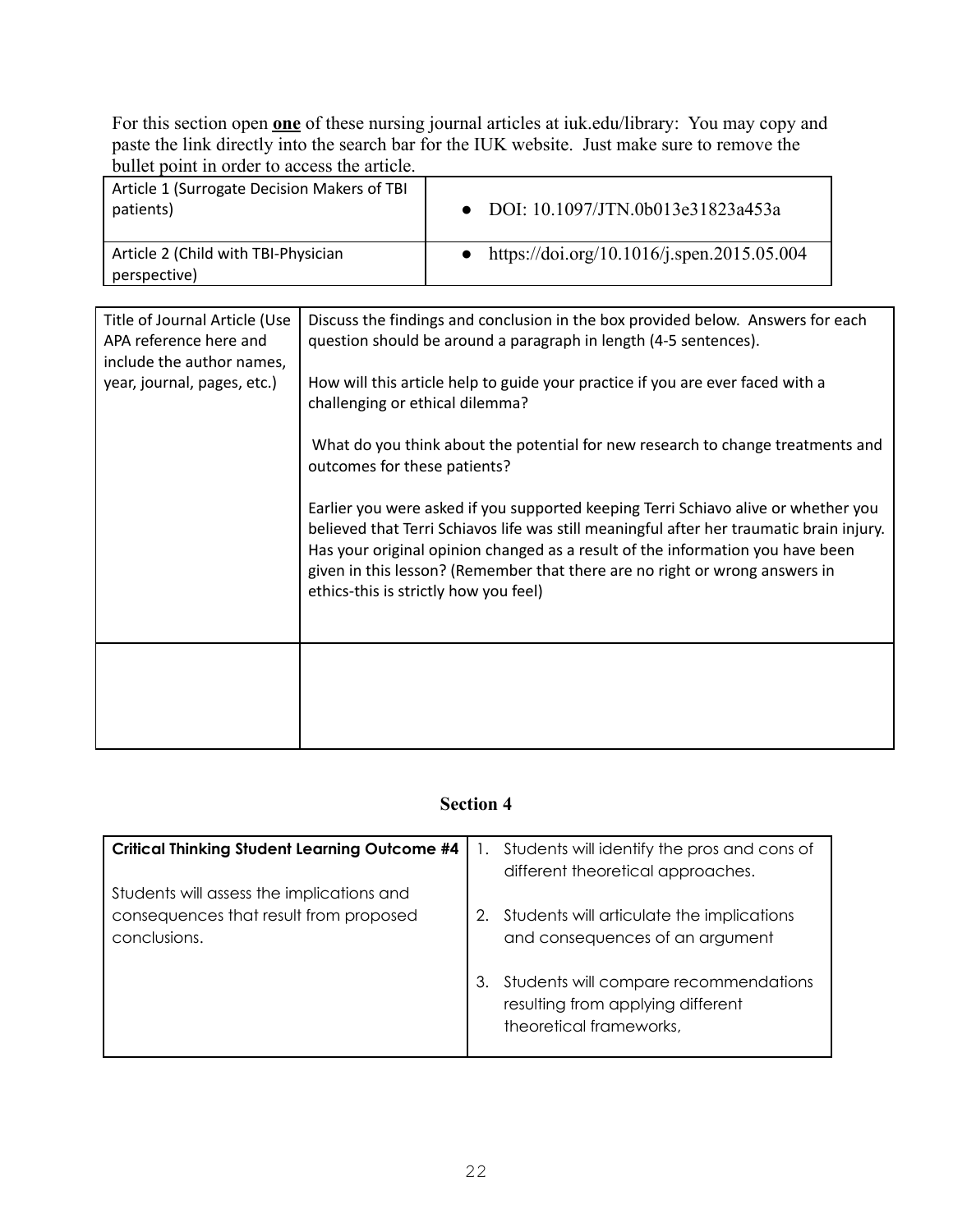For this section open **one** of these nursing journal articles at iuk.edu/library: You may copy and paste the link directly into the search bar for the IUK website. Just make sure to remove the bullet point in order to access the article.

| Article 1 (Surrogate Decision Makers of TBI<br>patients) | • DOI: $10.1097/JTN.0b013e31823a453a$        |
|----------------------------------------------------------|----------------------------------------------|
| Article 2 (Child with TBI-Physician<br>perspective)      | • https://doi.org/10.1016/j.spen.2015.05.004 |

| Title of Journal Article (Use<br>APA reference here and<br>include the author names, | Discuss the findings and conclusion in the box provided below. Answers for each<br>question should be around a paragraph in length (4-5 sentences).                                                                                                                                                                                                                                      |  |  |
|--------------------------------------------------------------------------------------|------------------------------------------------------------------------------------------------------------------------------------------------------------------------------------------------------------------------------------------------------------------------------------------------------------------------------------------------------------------------------------------|--|--|
| year, journal, pages, etc.)                                                          | How will this article help to guide your practice if you are ever faced with a<br>challenging or ethical dilemma?                                                                                                                                                                                                                                                                        |  |  |
|                                                                                      | What do you think about the potential for new research to change treatments and<br>outcomes for these patients?                                                                                                                                                                                                                                                                          |  |  |
|                                                                                      | Earlier you were asked if you supported keeping Terri Schiavo alive or whether you<br>believed that Terri Schiavos life was still meaningful after her traumatic brain injury.<br>Has your original opinion changed as a result of the information you have been<br>given in this lesson? (Remember that there are no right or wrong answers in<br>ethics-this is strictly how you feel) |  |  |
|                                                                                      |                                                                                                                                                                                                                                                                                                                                                                                          |  |  |

### **Section 4**

| <b>Critical Thinking Student Learning Outcome #4</b>                                                | Ι. | Students will identify the pros and cons of<br>different theoretical approaches.                      |
|-----------------------------------------------------------------------------------------------------|----|-------------------------------------------------------------------------------------------------------|
| Students will assess the implications and<br>consequences that result from proposed<br>conclusions. |    | Students will articulate the implications<br>and consequences of an argument                          |
|                                                                                                     |    | Students will compare recommendations<br>resulting from applying different<br>theoretical frameworks, |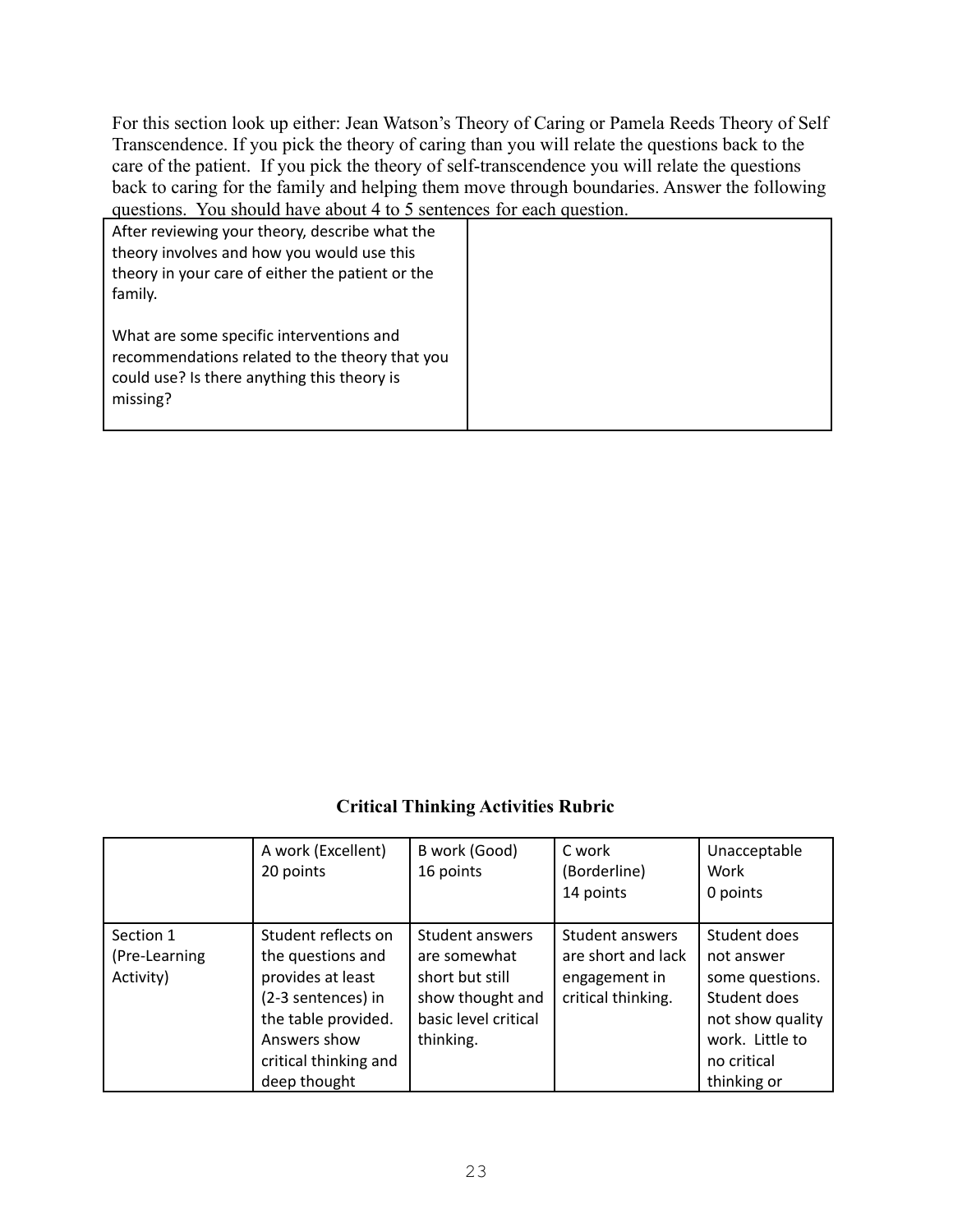For this section look up either: Jean Watson's Theory of Caring or Pamela Reeds Theory of Self Transcendence. If you pick the theory of caring than you will relate the questions back to the care of the patient. If you pick the theory of self-transcendence you will relate the questions back to caring for the family and helping them move through boundaries. Answer the following questions. You should have about 4 to 5 sentences for each question.

| After reviewing your theory, describe what the<br>theory involves and how you would use this<br>theory in your care of either the patient or the<br>family. |  |
|-------------------------------------------------------------------------------------------------------------------------------------------------------------|--|
| What are some specific interventions and<br>recommendations related to the theory that you<br>could use? Is there anything this theory is<br>missing?       |  |

### **Critical Thinking Activities Rubric**

|                                         | A work (Excellent)<br>20 points                                                                                                                                     | B work (Good)<br>16 points                                                                                  | C work<br>(Borderline)<br>14 points                                          | Unacceptable<br>Work<br>0 points                                                                                                   |
|-----------------------------------------|---------------------------------------------------------------------------------------------------------------------------------------------------------------------|-------------------------------------------------------------------------------------------------------------|------------------------------------------------------------------------------|------------------------------------------------------------------------------------------------------------------------------------|
| Section 1<br>(Pre-Learning<br>Activity) | Student reflects on<br>the questions and<br>provides at least<br>(2-3 sentences) in<br>the table provided.<br>Answers show<br>critical thinking and<br>deep thought | Student answers<br>are somewhat<br>short but still<br>show thought and<br>basic level critical<br>thinking. | Student answers<br>are short and lack<br>engagement in<br>critical thinking. | Student does<br>not answer<br>some questions.<br>Student does<br>not show quality<br>work. Little to<br>no critical<br>thinking or |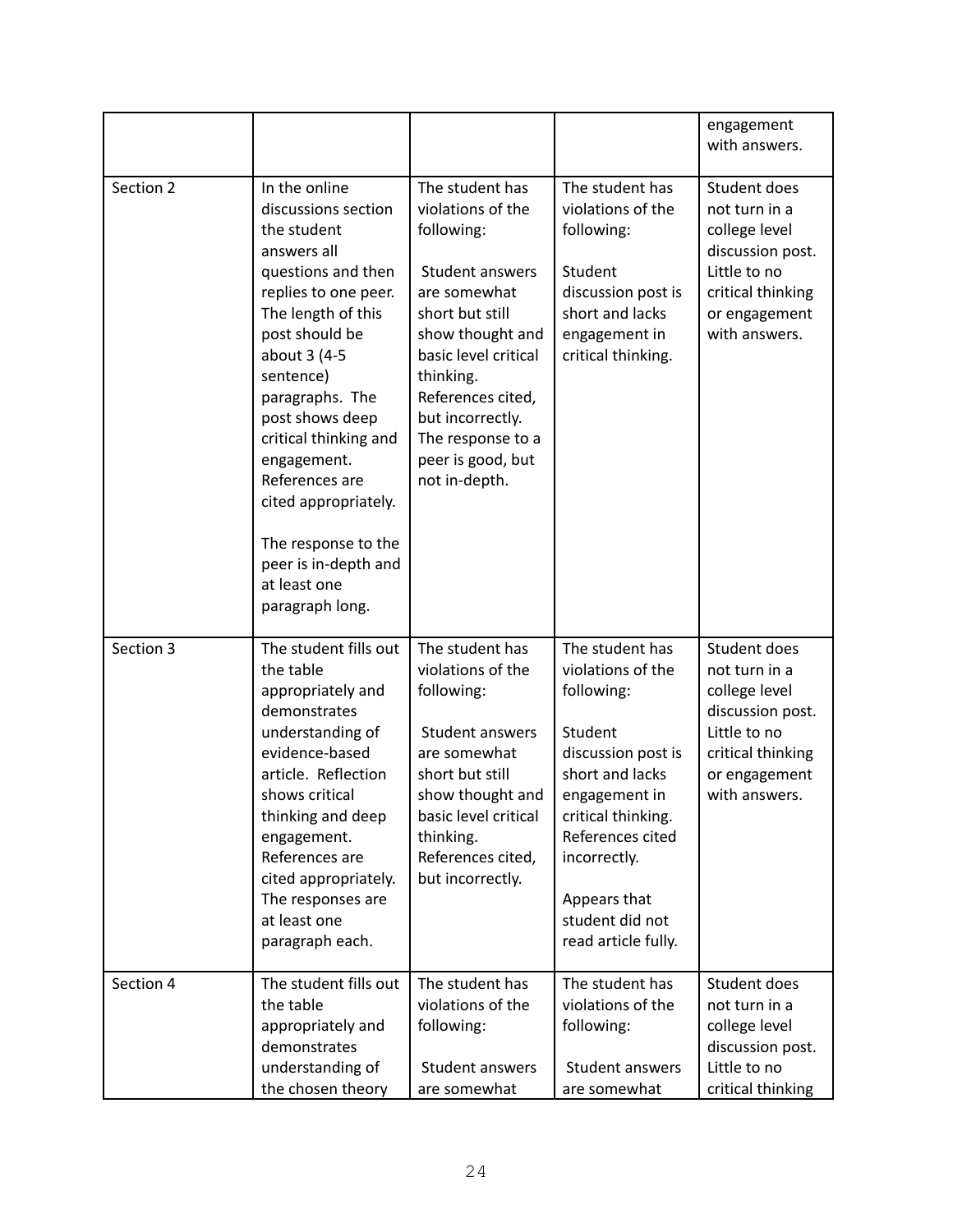|           |                                                                                                                                                                                                                                                                                                                                                                                                 |                                                                                                                                                                                                                                                                       |                                                                                                                                                                                                                                             | engagement<br>with answers.                                                                                                               |
|-----------|-------------------------------------------------------------------------------------------------------------------------------------------------------------------------------------------------------------------------------------------------------------------------------------------------------------------------------------------------------------------------------------------------|-----------------------------------------------------------------------------------------------------------------------------------------------------------------------------------------------------------------------------------------------------------------------|---------------------------------------------------------------------------------------------------------------------------------------------------------------------------------------------------------------------------------------------|-------------------------------------------------------------------------------------------------------------------------------------------|
| Section 2 | In the online<br>discussions section<br>the student<br>answers all<br>questions and then<br>replies to one peer.<br>The length of this<br>post should be<br>about 3 (4-5<br>sentence)<br>paragraphs. The<br>post shows deep<br>critical thinking and<br>engagement.<br>References are<br>cited appropriately.<br>The response to the<br>peer is in-depth and<br>at least one<br>paragraph long. | The student has<br>violations of the<br>following:<br>Student answers<br>are somewhat<br>short but still<br>show thought and<br>basic level critical<br>thinking.<br>References cited,<br>but incorrectly.<br>The response to a<br>peer is good, but<br>not in-depth. | The student has<br>violations of the<br>following:<br>Student<br>discussion post is<br>short and lacks<br>engagement in<br>critical thinking.                                                                                               | Student does<br>not turn in a<br>college level<br>discussion post.<br>Little to no<br>critical thinking<br>or engagement<br>with answers. |
| Section 3 | The student fills out<br>the table<br>appropriately and<br>demonstrates<br>understanding of<br>evidence-based<br>article. Reflection<br>shows critical<br>thinking and deep<br>engagement.<br>References are<br>cited appropriately.<br>The responses are<br>at least one<br>paragraph each.                                                                                                    | The student has<br>violations of the<br>following:<br>Student answers<br>are somewhat<br>short but still<br>show thought and<br>basic level critical<br>thinking.<br>References cited,<br>but incorrectly.                                                            | The student has<br>violations of the<br>following:<br>Student<br>discussion post is<br>short and lacks<br>engagement in<br>critical thinking.<br>References cited<br>incorrectly.<br>Appears that<br>student did not<br>read article fully. | Student does<br>not turn in a<br>college level<br>discussion post.<br>Little to no<br>critical thinking<br>or engagement<br>with answers. |
| Section 4 | The student fills out<br>the table<br>appropriately and<br>demonstrates<br>understanding of<br>the chosen theory                                                                                                                                                                                                                                                                                | The student has<br>violations of the<br>following:<br>Student answers<br>are somewhat                                                                                                                                                                                 | The student has<br>violations of the<br>following:<br>Student answers<br>are somewhat                                                                                                                                                       | Student does<br>not turn in a<br>college level<br>discussion post.<br>Little to no<br>critical thinking                                   |